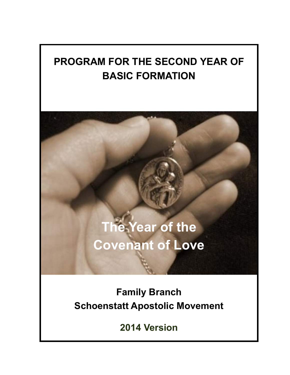## **PROGRAM FOR THE SECOND YEAR OF BASIC FORMATION**

# **The Year of the Covenant of Love**

**Family Branch Schoenstatt Apostolic Movement**

**2014 Version**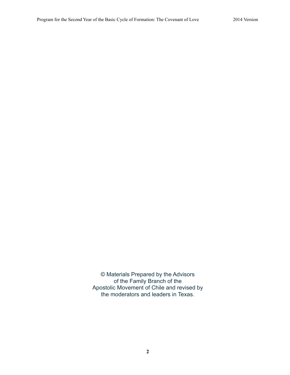© Materials Prepared by the Advisors of the Family Branch of the Apostolic Movement of Chile and revised by the moderators and leaders in Texas.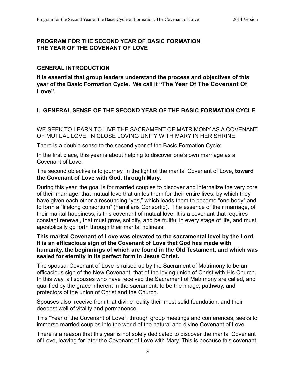#### **PROGRAM FOR THE SECOND YEAR OF BASIC FORMATION THE YEAR OF THE COVENANT OF LOVE**

#### **GENERAL INTRODUCTION**

**It is essential that group leaders understand the process and objectives of this year of the Basic Formation Cycle. We call it "The Year Of The Covenant Of Love".**

#### **I. GENERAL SENSE OF THE SECOND YEAR OF THE BASIC FORMATION CYCLE**

WE SEEK TO LEARN TO LIVE THE SACRAMENT OF MATRIMONY AS A COVENANT OF MUTUAL LOVE, IN CLOSE LOVING UNITY WITH MARY IN HER SHRINE.

There is a double sense to the second year of the Basic Formation Cycle:

In the first place, this year is about helping to discover one's own marriage as a Covenant of Love.

The second objective is to journey, in the light of the marital Covenant of Love, **toward the Covenant of Love with God, through Mary.** 

During this year, the goal is for married couples to discover and internalize the very core of their marriage: that mutual love that unites them for their entire lives, by which they have given each other a resounding "yes," which leads them to become "one body" and to form a "lifelong consortium" (Familiaris Consortio). The essence of their marriage, of their marital happiness, is this covenant of mutual love. It is a covenant that requires constant renewal, that must grow, solidify, and be fruitful in every stage of life, and must apostolically go forth through their marital holiness.

#### **This marital Covenant of Love was elevated to the sacramental level by the Lord. It is an efficacious sign of the Covenant of Love that God has made with humanity, the beginnings of which are found in the Old Testament, and which was sealed for eternity in its perfect form in Jesus Christ.**

The spousal Covenant of Love is raised up by the Sacrament of Matrimony to be an efficacious sign of the New Covenant, that of the loving union of Christ with His Church. In this way, all spouses who have received the Sacrament of Matrimony are called, and qualified by the grace inherent in the sacrament, to be the image, pathway, and protectors of the union of Christ and the Church.

Spouses also receive from that divine reality their most solid foundation, and their deepest well of vitality and permanence.

This "Year of the Covenant of Love", through group meetings and conferences, seeks to immerse married couples into the world of the natural and divine Covenant of Love.

There is a reason that this year is not solely dedicated to discover the marital Covenant of Love, leaving for later the Covenant of Love with Mary. This is because this covenant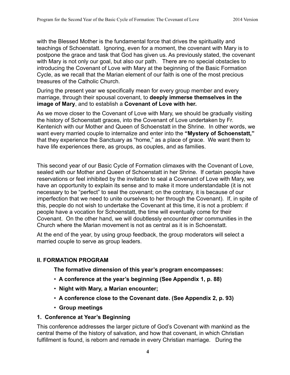with the Blessed Mother is the fundamental force that drives the spirituality and teachings of Schoenstatt. Ignoring, even for a moment, the covenant with Mary is to postpone the grace and task that God has given us. As previously stated, the covenant with Mary is not only our goal, but also our path. There are no special obstacles to introducing the Covenant of Love with Mary at the beginning of the Basic Formation Cycle, as we recall that the Marian element of our faith is one of the most precious treasures of the Catholic Church.

During the present year we specifically mean for every group member and every marriage, through their spousal covenant, to **deeply immerse themselves in the image of Mary**, and to establish a **Covenant of Love with her.**

As we move closer to the Covenant of Love with Mary, we should be gradually visiting the history of Schoenstatt graces, into the Covenant of Love undertaken by Fr. Kentenich with our Mother and Queen of Schoenstatt in the Shrine. In other words, we want every married couple to internalize and enter into the **"Mystery of Schoenstatt,"**  that they experience the Sanctuary as "home," as a place of grace. We want them to have life experiences there, as groups, as couples, and as families.

This second year of our Basic Cycle of Formation climaxes with the Covenant of Love, sealed with our Mother and Queen of Schoenstatt in her Shrine. If certain people have reservations or feel inhibited by the invitation to seal a Covenant of Love with Mary, we have an opportunity to explain its sense and to make it more understandable (it is not necessary to be "perfect" to seal the covenant; on the contrary, it is because of our imperfection that we need to unite ourselves to her through the Covenant). If, in spite of this, people do not wish to undertake the Covenant at this time, it is not a problem: if people have a vocation for Schoenstatt, the time will eventually come for their Covenant. On the other hand, we will doubtlessly encounter other communities in the Church where the Marian movement is not as central as it is in Schoenstatt.

At the end of the year, by using group feedback, the group moderators will select a married couple to serve as group leaders.

#### **II. FORMATION PROGRAM**

**The formative dimension of this year's program encompasses:** 

- • **A conference at the year's beginning (See Appendix 1, p. 88)**
- • **Night with Mary, a Marian encounter;**
- • **A conference close to the Covenant date. (See Appendix 2, p. 93)**
- • **Group meetings**

#### **1. Conference at Year's Beginning**

This conference addresses the larger picture of God's Covenant with mankind as the central theme of the history of salvation, and how that covenant, in which Christian fulfillment is found, is reborn and remade in every Christian marriage. During the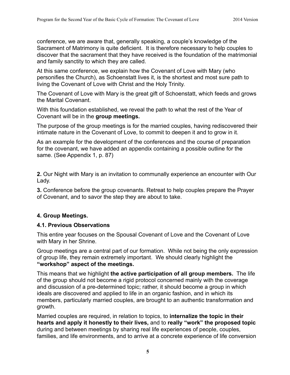conference, we are aware that, generally speaking, a couple's knowledge of the Sacrament of Matrimony is quite deficient. It is therefore necessary to help couples to discover that the sacrament that they have received is the foundation of the matrimonial and family sanctity to which they are called.

At this same conference, we explain how the Covenant of Love with Mary (who personifies the Church), as Schoenstatt lives it, is the shortest and most sure path to living the Covenant of Love with Christ and the Holy Trinity.

The Covenant of Love with Mary is the great gift of Schoenstatt, which feeds and grows the Marital Covenant.

With this foundation established, we reveal the path to what the rest of the Year of Covenant will be in the **group meetings.**

The purpose of the group meetings is for the married couples, having rediscovered their intimate nature in the Covenant of Love, to commit to deepen it and to grow in it.

As an example for the development of the conferences and the course of preparation for the covenant, we have added an appendix containing a possible outline for the same. (See Appendix 1, p. 87)

**2.** Our Night with Mary is an invitation to communally experience an encounter with Our Lady.

**3.** Conference before the group covenants. Retreat to help couples prepare the Prayer of Covenant, and to savor the step they are about to take.

## **4. Group Meetings.**

#### **4.1. Previous Observations**

This entire year focuses on the Spousal Covenant of Love and the Covenant of Love with Mary in her Shrine.

Group meetings are a central part of our formation. While not being the only expression of group life, they remain extremely important. We should clearly highlight the **"workshop" aspect of the meetings.**

This means that we highlight **the active participation of all group members.** The life of the group should not become a rigid protocol concerned mainly with the coverage and discussion of a pre-determined topic; rather, it should become a group in which ideals are discovered and applied to life in an organic fashion, and in which its members, particularly married couples, are brought to an authentic transformation and growth.

Married couples are required, in relation to topics, to **internalize the topic in their hearts and apply it honestly to their lives,** and to **really "work" the proposed topic** during and between meetings by sharing real life experiences of people, couples, families, and life environments, and to arrive at a concrete experience of life conversion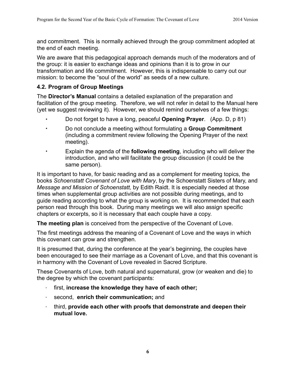and commitment. This is normally achieved through the group commitment adopted at the end of each meeting.

We are aware that this pedagogical approach demands much of the moderators and of the group: it is easier to exchange ideas and opinions than it is to grow in our transformation and life commitment. However, this is indispensable to carry out our mission: to become the "soul of the world" as seeds of a new culture.

#### **4.2. Program of Group Meetings**

The **Director's Manual** contains a detailed explanation of the preparation and facilitation of the group meeting. Therefore, we will not refer in detail to the Manual here (yet we suggest reviewing it). However, we should remind ourselves of a few things:

- Do not forget to have a long, peaceful **Opening Prayer**. (App. D, p 81)
- Do not conclude a meeting without formulating a **Group Commitment** (including a commitment review following the Opening Prayer of the next meeting).
- Explain the agenda of the **following meeting**, including who will deliver the introduction, and who will facilitate the group discussion (it could be the same person).

It is important to have, for basic reading and as a complement for meeting topics, the books *Schoenstatt Covenant of Love with Mary*, by the Schoenstatt Sisters of Mary, and *Message and Mission of Schoenstatt,* by Edith Raidt. It is especially needed at those times when supplemental group activities are not possible during meetings, and to guide reading according to what the group is working on. It is recommended that each person read through this book. During many meetings we will also assign specific chapters or excerpts, so it is necessary that each couple have a copy.

**The meeting plan** is conceived from the perspective of the Covenant of Love.

The first meetings address the meaning of a Covenant of Love and the ways in which this covenant can grow and strengthen.

It is presumed that, during the conference at the year's beginning, the couples have been encouraged to see their marriage as a Covenant of Love, and that this covenant is in harmony with the Covenant of Love revealed in Sacred Scripture.

These Covenants of Love, both natural and supernatural, grow (or weaken and die) to the degree by which the covenant participants:

- first, **increase the knowledge they have of each other;**
- · second, **enrich their communication;** and
- · third, **provide each other with proofs that demonstrate and deepen their mutual love.**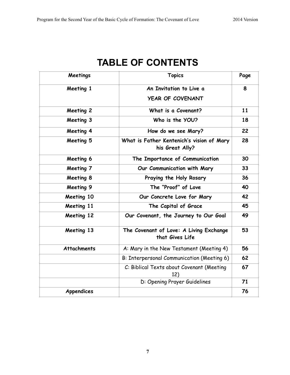| Meetings           | <b>Topics</b>                                                | Page |
|--------------------|--------------------------------------------------------------|------|
| Meeting 1          | An Invitation to Live a                                      | 8    |
|                    | YEAR OF COVENANT                                             |      |
| Meeting 2          | What is a Covenant?                                          | 11   |
| Meeting 3          | Who is the YOU?                                              | 18   |
| Meeting 4          | How do we see Mary?                                          | 22   |
| Meeting 5          | What is Father Kentenich's vision of Mary<br>his Great Ally? | 28   |
| Meeting 6          | The Importance of Communication                              | 30   |
| Meeting 7          | Our Communication with Mary                                  | 33   |
| Meeting 8          | Praying the Holy Rosary                                      | 36   |
| Meeting 9          | The "Proof" of Love                                          | 40   |
| Meeting 10         | Our Concrete Love for Mary                                   | 42   |
| Meeting 11         | The Capital of Grace                                         | 45   |
| Meeting 12         | Our Covenant, the Journey to Our Goal                        | 49   |
| Meeting 13         | The Covenant of Love: A Living Exchange<br>that Gives Life   | 53   |
| <b>Attachments</b> | A: Mary in the New Testament (Meeting 4)                     | 56   |
|                    | B: Interpersonal Communication (Meeting 6)                   | 62   |
|                    | C: Biblical Texts about Covenant (Meeting<br>12)             | 67   |
|                    | D: Opening Prayer Guidelines                                 | 71   |
| <b>Appendices</b>  |                                                              | 76   |

## **TABLE OF CONTENTS**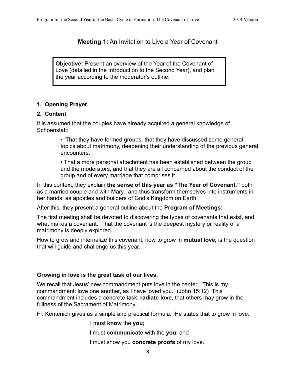#### **Meeting 1:** An Invitation to Live a Year of Covenant

**Objective:** Present an overview of the Year of the Covenant of Love (detailed in the Introduction to the Second Year), and plan the year according to the moderator's outline.

#### **1. Opening Prayer**

#### **2. Content**

It is assumed that the couples have already acquired a general knowledge of Schoenstatt:

> • That they have formed groups, that they have discussed some general topics about matrimony, deepening their understanding of the previous general encounters.

 • That a more personal attachment has been established between the group and the moderators, and that they are all concerned about the conduct of the group and of every marriage that comprises it.

In this context, they explain **the sense of this year as "The Year of Covenant,"** both as a married couple and with Mary, and thus transform themselves into instruments in her hands, as apostles and builders of God's Kingdom on Earth.

After this, they present a general outline about the **Program of Meetings:** 

The first meeting shall be devoted to discovering the types of covenants that exist, and what makes a covenant. That the covenant is the deepest mystery or reality of a matrimony is deeply explored.

How to grow and internalize this covenant, how to grow in **mutual love,** is the question that will guide and challenge us this year.

#### **Growing in love is the great task of our lives.**

We recall that Jesus' new commandment puts love in the center: "This is my commandment: love one another, as I have loved you." (John 15:12) This commandment includes a concrete task: **radiate love,** that others may grow in the fullness of the Sacrament of Matrimony.

Fr. Kentenich gives us a simple and practical formula. He states that to grow in love:

I must **know** the **you**;

I must **communicate** with the **you**; and

I must show you **concrete proofs** of my love.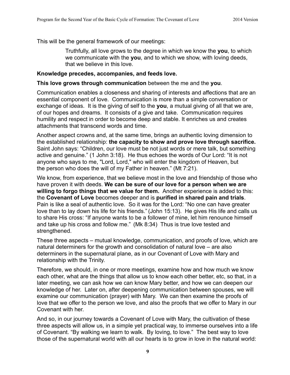This will be the general framework of our meetings:

Truthfully, all love grows to the degree in which we know the **you**, to which we communicate with the **you**, and to which we show, with loving deeds, that we believe in this love.

#### **Knowledge precedes, accompanies, and feeds love.**

**This love grows through communication** between the me and the **you**.

Communication enables a closeness and sharing of interests and affections that are an essential component of love. Communication is more than a simple conversation or exchange of ideas. It is the giving of self to the **you**, a mutual giving of all that we are, of our hopes and dreams. It consists of a give and take. Communication requires humility and respect in order to become deep and stable. It enriches us and creates attachments that transcend words and time.

Another aspect crowns and, at the same time, brings an authentic loving dimension to the established relationship: **the capacity to show and prove love through sacrifice.** Saint John says: "Children, our love must be not just words or mere talk, but something active and genuine." (1 John 3:18). He thus echoes the words of Our Lord: "It is not anyone who says to me, "Lord, Lord," who will enter the kingdom of Heaven, but the person who does the will of my Father in heaven." (Mt 7:21).

We know, from experience, that we believe most in the love and friendship of those who have proven it with deeds. **We can be sure of our love for a person when we are willing to forgo things that we value for them.** Another experience is added to this: the **Covenant of Love** becomes deeper and is **purified in shared pain and trials**. Pain is like a seal of authentic love. So it was for the Lord: "No one can have greater love than to lay down his life for his friends." (John 15:13). He gives His life and calls us to share His cross: "If anyone wants to be a follower of mine, let him renounce himself and take up his cross and follow me." (Mk 8:34) Thus is true love tested and strengthened.

These three aspects – mutual knowledge, communication, and proofs of love, which are natural determiners for the growth and consolidation of natural love – are also determiners in the supernatural plane, as in our Covenant of Love with Mary and relationship with the Trinity.

Therefore, we should, in one or more meetings, examine how and how much we know each other, what are the things that allow us to know each other better, etc, so that, in a later meeting, we can ask how we can know Mary better, and how we can deepen our knowledge of her. Later on, after deepening communication between spouses, we will examine our communication (prayer) with Mary. We can then examine the proofs of love that we offer to the person we love, and also the proofs that we offer to Mary in our Covenant with her.

And so, in our journey towards a Covenant of Love with Mary, the cultivation of these three aspects will allow us, in a simple yet practical way, to immerse ourselves into a life of Covenant. "By walking we learn to walk. By loving, to love." The best way to love those of the supernatural world with all our hearts is to grow in love in the natural world: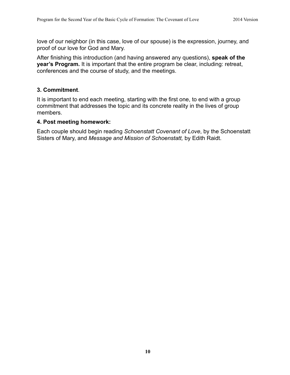love of our neighbor (in this case, love of our spouse) is the expression, journey, and proof of our love for God and Mary.

After finishing this introduction (and having answered any questions), **speak of the year's Program.** It is important that the entire program be clear, including: retreat, conferences and the course of study, and the meetings.

#### **3. Commitment**.

It is important to end each meeting, starting with the first one, to end with a group commitment that addresses the topic and its concrete reality in the lives of group members.

#### **4. Post meeting homework:**

Each couple should begin reading *Schoenstatt Covenant of Love*, by the Schoenstatt Sisters of Mary, and *Message and Mission of Schoenstatt,* by Edith Raidt.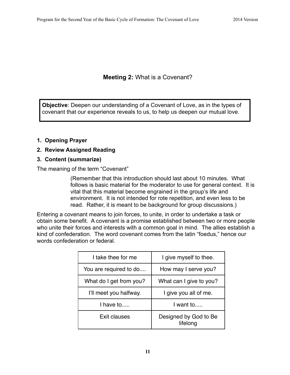**Meeting 2:** What is a Covenant?

**Objective**: Deepen our understanding of a Covenant of Love, as in the types of covenant that our experience reveals to us, to help us deepen our mutual love.

#### **1. Opening Prayer**

#### **2. Review Assigned Reading**

#### **3. Content (summarize)**

The meaning of the term "Covenant"

(Remember that this introduction should last about 10 minutes. What follows is basic material for the moderator to use for general context. It is vital that this material become engrained in the group's life and environment. It is not intended for rote repetition, and even less to be read. Rather, it is meant to be background for group discussions.)

Entering a covenant means to join forces, to unite, in order to undertake a task or obtain some benefit. A covenant is a promise established between two or more people who unite their forces and interests with a common goal in mind. The allies establish a kind of confederation. The word covenant comes from the latin "foedus," hence our words confederation or federal.

| I take thee for me      | I give myself to thee.            |  |
|-------------------------|-----------------------------------|--|
| You are required to do  | How may I serve you?              |  |
| What do I get from you? | What can I give to you?           |  |
| I'll meet you halfway.  | I give you all of me.             |  |
| I have to               | I want to                         |  |
| Exit clauses            | Designed by God to Be<br>lifelong |  |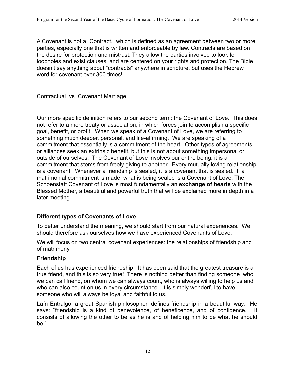A Covenant is not a "Contract," which is defined as an agreement between two or more parties, especially one that is written and enforceable by law. Contracts are based on the desire for protection and mistrust. They allow the parties involved to look for loopholes and exist clauses, and are centered on your rights and protection. The Bible doesn't say anything about "contracts" anywhere in scripture, but uses the Hebrew word for covenant over 300 times!

Contractual vs Covenant Marriage

Our more specific definition refers to our second term: the Covenant of Love. This does not refer to a mere treaty or association, in which forces join to accomplish a specific goal, benefit, or profit. When we speak of a Covenant of Love, we are referring to something much deeper, personal, and life-affirming. We are speaking of a commitment that essentially is a commitment of the heart. Other types of agreements or alliances seek an extrinsic benefit, but this is not about something impersonal or outside of ourselves. The Covenant of Love involves our entire being; it is a commitment that stems from freely giving to another. Every mutually loving relationship is a covenant. Whenever a friendship is sealed, it is a covenant that is sealed. If a matrimonial commitment is made, what is being sealed is a Covenant of Love. The Schoenstatt Covenant of Love is most fundamentally an **exchange of hearts** with the Blessed Mother, a beautiful and powerful truth that will be explained more in depth in a later meeting.

#### **Different types of Covenants of Love**

To better understand the meaning, we should start from our natural experiences. We should therefore ask ourselves how we have experienced Covenants of Love.

We will focus on two central covenant experiences: the relationships of friendship and of matrimony.

#### **Friendship**

Each of us has experienced friendship. It has been said that the greatest treasure is a true friend, and this is so very true! There is nothing better than finding someone who we can call friend, on whom we can always count, who is always willing to help us and who can also count on us in every circumstance. It is simply wonderful to have someone who will always be loyal and faithful to us.

Laín Entralgo, a great Spanish philosopher, defines friendship in a beautiful way. He says: "friendship is a kind of benevolence, of beneficence, and of confidence. It consists of allowing the other to be as he is and of helping him to be what he should be."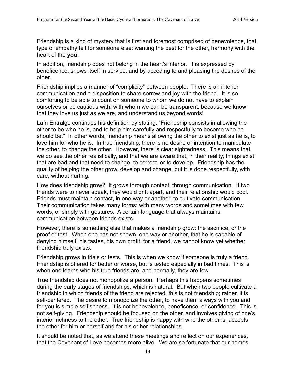Friendship is a kind of mystery that is first and foremost comprised of benevolence, that type of empathy felt for someone else: wanting the best for the other, harmony with the heart of the **you.**

In addition, friendship does not belong in the heart's interior. It is expressed by beneficence, shows itself in service, and by acceding to and pleasing the desires of the other.

Friendship implies a manner of "complicity" between people. There is an interior communication and a disposition to share sorrow and joy with the friend. It is so comforting to be able to count on someone to whom we do not have to explain ourselves or be cautious with; with whom we can be transparent, because we know that they love us just as we are, and understand us beyond words!

Laín Entralgo continues his definition by stating, "Friendship consists in allowing the other to be who he is, and to help him carefully and respectfully to become who he should be." In other words, friendship means allowing the other to exist just as he is, to love him for who he is. In true friendship, there is no desire or intention to manipulate the other, to change the other. However, there is clear sightedness. This means that we do see the other realistically, and that we are aware that, in their reality, things exist that are bad and that need to change, to correct, or to develop. Friendship has the quality of helping the other grow, develop and change, but it is done respectfully, with care, without hurting.

How does friendship grow? It grows through contact, through communication. If two friends were to never speak, they would drift apart, and their relationship would cool. Friends must maintain contact, in one way or another, to cultivate communication. Their communication takes many forms: with many words and sometimes with few words, or simply with gestures. A certain language that always maintains communication between friends exists.

However, there is something else that makes a friendship grow: the sacrifice, or the proof or test. When one has not shown, one way or another, that he is capable of denying himself, his tastes, his own profit, for a friend, we cannot know yet whether friendship truly exists.

Friendship grows in trials or tests. This is when we know if someone is truly a friend. Friendship is offered for better or worse, but is tested especially in bad times. This is when one learns who his true friends are, and normally, they are few.

True friendship does not monopolize a person. Perhaps this happens sometimes during the early stages of friendships, which is natural. But when two people cultivate a friendship in which friends of the friend are rejected, this is not friendship; rather, it is self-centered. The desire to monopolize the other, to have them always with you and for you is simple selfishness. It is not benevolence, beneficence, or confidence. This is not self-giving. Friendship should be focused on the other, and involves giving of one's interior richness to the other. True friendship is happy with who the other is, accepts the other for him or herself and for his or her relationships.

It should be noted that, as we attend these meetings and reflect on our experiences, that the Covenant of Love becomes more alive. We are so fortunate that our homes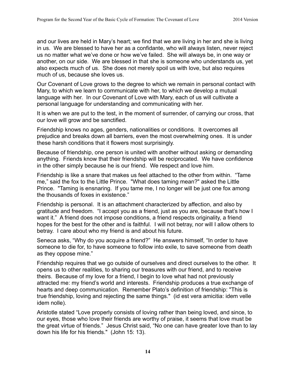and our lives are held in Mary's heart; we find that we are living in her and she is living in us. We are blessed to have her as a confidante, who will always listen, never reject us no matter what we've done or how we've failed. She will always be, in one way or another, on our side. We are blessed in that she is someone who understands us, yet also expects much of us. She does not merely spoil us with love, but also requires much of us, because she loves us.

Our Covenant of Love grows to the degree to which we remain in personal contact with Mary, to which we learn to communicate with her, to which we develop a mutual language with her. In our Covenant of Love with Mary, each of us will cultivate a personal language for understanding and communicating with her.

It is when we are put to the test, in the moment of surrender, of carrying our cross, that our love will grow and be sanctified.

Friendship knows no ages, genders, nationalities or conditions. It overcomes all prejudice and breaks down all barriers, even the most overwhelming ones. It is under these harsh conditions that it flowers most surprisingly.

Because of friendship, one person is united with another without asking or demanding anything. Friends know that their friendship will be reciprocated. We have confidence in the other simply because he is our friend. We respect and love him.

Friendship is like a snare that makes us feel attached to the other from within. "Tame me," said the fox to the Little Prince. "What does taming mean?" asked the Little Prince. "Taming is ensnaring. If you tame me, I no longer will be just one fox among the thousands of foxes in existence."

Friendship is personal. It is an attachment characterized by affection, and also by gratitude and freedom. "I accept you as a friend, just as you are, because that's how I want it." A friend does not impose conditions, a friend respects originality, a friend hopes for the best for the other and is faithful. I will not betray, nor will I allow others to betray. I care about who my friend is and about his future.

Seneca asks, "Why do you acquire a friend?" He answers himself, "In order to have someone to die for, to have someone to follow into exile, to save someone from death as they oppose mine."

Friendship requires that we go outside of ourselves and direct ourselves to the other. It opens us to other realities, to sharing our treasures with our friend, and to receive theirs. Because of my love for a friend, I begin to love what had not previously attracted me: my friend's world and interests. Friendship produces a true exchange of hearts and deep communication. Remember Plato's definition of friendship: "This is true friendship, loving and rejecting the same things." (id est vera amicitia: idem velle idem nolle).

Aristotle stated "Love properly consists of loving rather than being loved, and since, to our eyes, those who love their friends are worthy of praise, it seems that love must be the great virtue of friends." Jesus Christ said, "No one can have greater love than to lay down his life for his friends." (John 15: 13).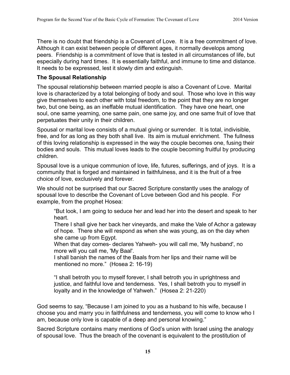There is no doubt that friendship is a Covenant of Love. It is a free commitment of love. Although it can exist between people of different ages, it normally develops among peers. Friendship is a commitment of love that is tested in all circumstances of life, but especially during hard times. It is essentially faithful, and immune to time and distance. It needs to be expressed, lest it slowly dim and extinguish.

#### **The Spousal Relationship**

The spousal relationship between married people is also a Covenant of Love. Marital love is characterized by a total belonging of body and soul. Those who love in this way give themselves to each other with total freedom, to the point that they are no longer two, but one being, as an ineffable mutual identification. They have one heart, one soul, one same yearning, one same pain, one same joy, and one same fruit of love that perpetuates their unity in their children.

Spousal or marital love consists of a mutual giving or surrender. It is total, indivisible, free, and for as long as they both shall live. Its aim is mutual enrichment. The fullness of this loving relationship is expressed in the way the couple becomes one, fusing their bodies and souls. This mutual loves leads to the couple becoming fruitful by producing children.

Spousal love is a unique communion of love, life, futures, sufferings, and of joys. It is a community that is forged and maintained in faithfulness, and it is the fruit of a free choice of love, exclusively and forever.

We should not be surprised that our Sacred Scripture constantly uses the analogy of spousal love to describe the Covenant of Love between God and his people. For example, from the prophet Hosea:

"But look, I am going to seduce her and lead her into the desert and speak to her heart.

There I shall give her back her vineyards, and make the Vale of Achor a gateway of hope. There she will respond as when she was young, as on the day when she came up from Egypt.

When that day comes- declares Yahweh- you will call me, 'My husband', no more will you call me, 'My Baal'.

I shall banish the names of the Baals from her lips and their name will be mentioned no more." (Hosea 2: 16-19)

"I shall betroth you to myself forever, I shall betroth you in uprightness and justice, and faithful love and tenderness. Yes, I shall betroth you to myself in loyalty and in the knowledge of Yahweh." (Hosea 2: 21-220)

God seems to say, "Because I am joined to you as a husband to his wife, because I choose you and marry you in faithfulness and tenderness, you will come to know who I am, because only love is capable of a deep and personal knowing."

Sacred Scripture contains many mentions of God's union with Israel using the analogy of spousal love. Thus the breach of the covenant is equivalent to the prostitution of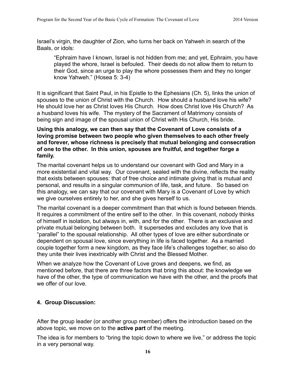Israel's virgin, the daughter of Zion, who turns her back on Yahweh in search of the Baals, or idols:

"Ephraim have I known, Israel is not hidden from me; and yet, Ephraim, you have played the whore, Israel is befouled. Their deeds do not allow them to return to their God, since an urge to play the whore possesses them and they no longer know Yahweh." (Hosea 5: 3-4)

It is significant that Saint Paul, in his Epistle to the Ephesians (Ch. 5), links the union of spouses to the union of Christ with the Church. How should a husband love his wife? He should love her as Christ loves His Church. How does Christ love His Church? As a husband loves his wife. The mystery of the Sacrament of Matrimony consists of being sign and image of the spousal union of Christ with His Church, His bride.

#### **Using this analogy, we can then say that the Covenant of Love consists of a loving promise between two people who given themselves to each other freely and forever, whose richness is precisely that mutual belonging and consecration of one to the other. In this union, spouses are fruitful, and together forge a family.**

The marital covenant helps us to understand our covenant with God and Mary in a more existential and vital way. Our covenant, sealed with the divine, reflects the reality that exists between spouses: that of free choice and intimate giving that is mutual and personal, and results in a singular communion of life, task, and future. So based on this analogy, we can say that our covenant with Mary is a Covenant of Love by which we give ourselves entirely to her, and she gives herself to us.

The marital covenant is a deeper commitment than that which is found between friends. It requires a commitment of the entire self to the other. In this covenant, nobody thinks of himself in isolation, but always in, with, and for the other. There is an exclusive and private mutual belonging between both. It supersedes and excludes any love that is "parallel" to the spousal relationship. All other types of love are either subordinate or dependent on spousal love, since everything in life is faced together. As a married couple together form a new kingdom, as they face life's challenges together, so also do they unite their lives inextricably with Christ and the Blessed Mother.

When we analyze how the Covenant of Love grows and deepens, we find, as mentioned before, that there are three factors that bring this about: the knowledge we have of the other, the type of communication we have with the other, and the proofs that we offer of our love.

#### **4. Group Discussion:**

After the group leader (or another group member) offers the introduction based on the above topic, we move on to the **active part** of the meeting.

The idea is for members to "bring the topic down to where we live," or address the topic in a very personal way.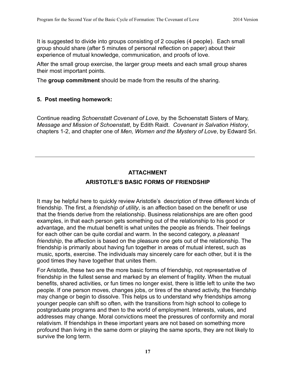It is suggested to divide into groups consisting of 2 couples (4 people). Each small group should share (after 5 minutes of personal reflection on paper) about their experience of mutual knowledge, communication, and proofs of love.

After the small group exercise, the larger group meets and each small group shares their most important points.

The **group commitment** should be made from the results of the sharing.

#### **5. Post meeting homework:**

Continue reading *Schoenstatt Covenant of Love*, by the Schoenstatt Sisters of Mary, *Message and Mission of Schoenstatt*, by Edith Raidt. *Covenant in Salvation History*, chapters 1-2, and chapter one of *Men, Women and the Mystery of Love*, by Edward Sri.

## **ATTACHMENT**

## **ARISTOTLE'S BASIC FORMS OF FRIENDSHIP**

It may be helpful here to quickly review Aristotle's description of three different kinds of friendship. The first, a *friendship of utility*, is an affection based on the benefit or use that the friends derive from the relationship. Business relationships are are often good examples, in that each person gets something out of the relationship to his good or advantage, and the mutual benefit is what unites the people as friends. Their feelings for each other can be quite cordial and warm. In the second category, a *pleasant friendship*, the affection is based on the pleasure one gets out of the relationship. The friendship is primarily about having fun together in areas of mutual interest, such as music, sports, exercise. The individuals may sincerely care for each other, but it is the good times they have together that unites them.

For Aristotle, these two are the more basic forms of friendship, not representative of friendship in the fullest sense and marked by an element of fragility. When the mutual benefits, shared activities, or fun times no longer exist, there is little left to unite the two people. If one person moves, changes jobs, or tires of the shared activity, the friendship may change or begin to dissolve. This helps us to understand why friendships among younger people can shift so often, with the transitions from high school to college to postgraduate programs and then to the world of employment. Interests, values, and addresses may change. Moral convictions meet the pressures of conformity and moral relativism. If friendships in these important years are not based on something more profound than living in the same dorm or playing the same sports, they are not likely to survive the long term.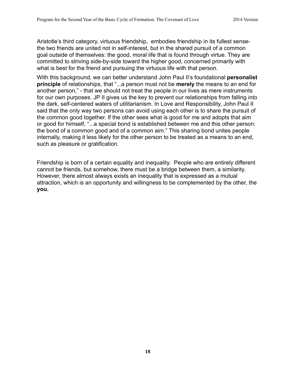Aristotle's third category, virtuous friendship, embodies friendship in its fullest sensethe two friends are united not in self-interest, but in the shared pursuit of a common goal outside of themselves: the good, moral life that is found through virtue. They are committed to striving side-by-side toward the higher good, concerned primarily with what is best for the friend and pursuing the virtuous life with that person.

With this background, we can better understand John Paul II's foundational **personalist principle** of relationships, that "...a person must not be **merely** the means to an end for another person," - that we should not treat the people in our lives as mere instruments for our own purposes. JP II gives us the key to prevent our relationships from falling into the dark, self-centered waters of utilitarianism. In Love and Responsibility, John Paul II said that the only way two persons can avoid using each other is to share the pursuit of the common good together. If the other sees what is good for me and adopts that aim or good for himself, "...a special bond is established between me and this other person: the bond of a common good and of a common aim." This sharing bond unites people internally, making it less likely for the other person to be treated as a means to an end, such as pleasure or gratification.

Friendship is born of a certain equality and inequality. People who are entirely different cannot be friends, but somehow, there must be a bridge between them, a similarity. However, there almost always exists an inequality that is expressed as a mutual attraction, which is an opportunity and willingness to be complemented by the other, the **you.**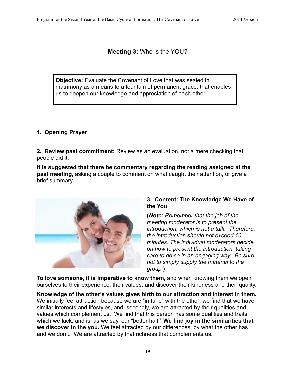## **Meeting 3:** Who is the YOU?

**Objective:** Evaluate the Covenant of Love that was sealed in matrimony as a means to a fountain of permanent grace, that enables us to deepen our knowledge and appreciation of each other.

#### **1. Opening Prayer**

**2. Review past commitment:** Review as an evaluation, not a mere checking that people did it.

**It is suggested that there be commentary regarding the reading assigned at the past meeting,** asking a couple to comment on what caught their attention, or give a brief summary.



#### **3. Content: The Knowledge We Have of the You**

**(***Note: Remember that the job of the meeting moderator is to present the introduction, which is not a talk. Therefore, the introduction should not exceed 10 minutes. The individual moderators decide on how to present the introduction, taking care to do so in an engaging way. Be sure not to simply supply the material to the group.*)

**To love someone, it is imperative to know them,** and when knowing them we open ourselves to their experience, their values, and discover their kindness and their quality.

**Knowledge of the other's values gives birth to our attraction and interest in them.**  We initially feel attraction because we are "in tune" with the other: we find that we have similar interests and lifestyles, and, secondly, we are attracted by their qualities and values which complement us. We find that this person has some qualities and traits which we lack, and is, as we say, our "better half." **We find joy in the similarities that we discover in the you.** We feel attracted by our differences, by what the other has and we don't. We are attracted by that richness that complements us.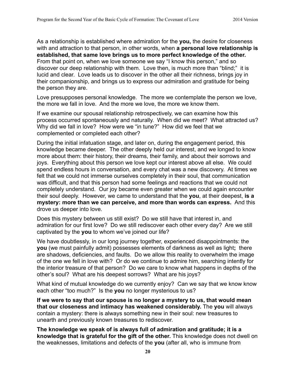As a relationship is established where admiration for the **you,** the desire for closeness with and attraction to that person, in other words, when **a personal love relationship is established, that same love brings us to more perfect knowledge of the other.**  From that point on, when we love someone we say "I know this person," and so discover our deep relationship with them. Love then, is much more than "blind;" it is lucid and clear. Love leads us to discover in the other all their richness, brings joy in their companionship, and brings us to express our admiration and gratitude for being the person they are.

Love presupposes personal knowledge. The more we contemplate the person we love, the more we fall in love. And the more we love, the more we know them.

If we examine our spousal relationship retrospectively, we can examine how this process occurred spontaneously and naturally. When did we meet? What attracted us? Why did we fall in love? How were we "in tune?" How did we feel that we complemented or completed each other?

During the initial infatuation stage, and later on, during the engagement period, this knowledge became deeper. The other deeply held our interest, and we longed to know more about them: their history, their dreams, their family, and about their sorrows and joys. Everything about this person we love kept our interest above all else. We could spend endless hours in conversation, and every chat was a new discovery. At times we felt that we could not immerse ourselves completely in their soul, that communication was difficult, and that this person had some feelings and reactions that we could not completely understand. Our joy became even greater when we could again encounter their soul deeply. However, we came to understand that the **you**, at their deepest, **is a mystery: more than we can perceive, and more than words can express.** And this drove us deeper into love.

Does this mystery between us still exist? Do we still have that interest in, and admiration for our first love? Do we still rediscover each other every day? Are we still captivated by the **you** to whom we've joined our life?

We have doubtlessly, in our long journey together, experienced disappointments: the **you** (we must painfully admit) possesses elements of darkness as well as light**;** there are shadows, deficiencies, and faults. Do we allow this reality to overwhelm the image of the one we fell in love with? Or do we continue to admire him, searching intently for the interior treasure of that person? Do we care to know what happens in depths of the other's soul? What are his deepest sorrows? What are his joys?

What kind of mutual knowledge do we currently enjoy? Can we say that we know know each other "too much?" Is the **you** no longer mysterious to us?

**If we were to say that our spouse is no longer a mystery to us, that would mean that our closeness and intimacy has weakened considerably.** The **you** will always contain a mystery: there is always something new in their soul: new treasures to unearth and previously known treasures to rediscover.

**The knowledge we speak of is always full of admiration and gratitude; it is a knowledge that is grateful for the gift of the other.** This knowledge does not dwell on the weaknesses, limitations and defects of the **you** (after all, who is immune from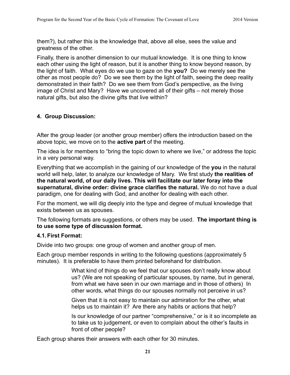them?), but rather this is the knowledge that, above all else, sees the value and greatness of the other.

Finally, there is another dimension to our mutual knowledge. It is one thing to know each other using the light of reason, but it is another thing to know beyond reason, by the light of faith. What eyes do we use to gaze on the **you?** Do we merely see the other as most people do? Do we see them by the light of faith, seeing the deep reality demonstrated in their faith? Do we see them from God's perspective, as the living image of Christ and Mary? Have we uncovered all of their gifts – not merely those natural gifts, but also the divine gifts that live within?

#### **4. Group Discussion:**

After the group leader (or another group member) offers the introduction based on the above topic, we move on to the **active part** of the meeting.

The idea is for members to "bring the topic down to where we live," or address the topic in a very personal way.

Everything that we accomplish in the gaining of our knowledge of the **you** in the natural world will help, later, to analyze our knowledge of Mary. We first study **the realities of the natural world, of our daily lives. This will facilitate our later foray into the supernatural, divine order: divine grace clarifies the natural.** We do not have a dual paradigm, one for dealing with God, and another for dealing with each other.

For the moment, we will dig deeply into the type and degree of mutual knowledge that exists between us as spouses.

The following formats are suggestions, or others may be used. **The important thing is to use some type of discussion format.** 

#### **4.1. First Format:**

Divide into two groups: one group of women and another group of men.

Each group member responds in writing to the following questions (approximately 5 minutes). It is preferable to have them printed beforehand for distribution.

> What kind of things do we feel that our spouses don't really know about us? (We are not speaking of particular spouses, by name, but in general, from what we have seen in our own marriage and in those of others) In other words, what things do our spouses normally not perceive in us?

Given that it is not easy to maintain our admiration for the other, what helps us to maintain it? Are there any habits or actions that help?

Is our knowledge of our partner "comprehensive," or is it so incomplete as to take us to judgement, or even to complain about the other's faults in front of other people?

Each group shares their answers with each other for 30 minutes.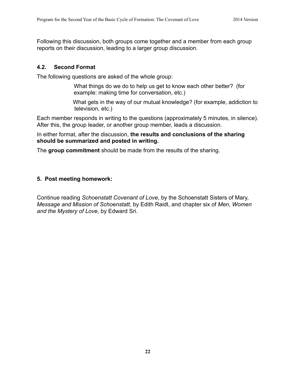Following this discussion, both groups come together and a member from each group reports on their discussion, leading to a larger group discussion.

#### **4.2. Second Format**

The following questions are asked of the whole group:

 What things do we do to help us get to know each other better? (for example: making time for conversation, etc.)

 What gets in the way of our mutual knowledge? (for example, addiction to television, etc.)

Each member responds in writing to the questions (approximately 5 minutes, in silence). After this, the group leader, or another group member, leads a discussion.

In either format, after the discussion, **the results and conclusions of the sharing should be summarized and posted in writing.** 

The **group commitment** should be made from the results of the sharing.

#### **5. Post meeting homework:**

Continue reading *Schoenstatt Covenant of Love*, by the Schoenstatt Sisters of Mary, *Message and Mission of Schoenstatt*, by Edith Raidt, and chapter six of *Men, Women and the Mystery of Love*, by Edward Sri.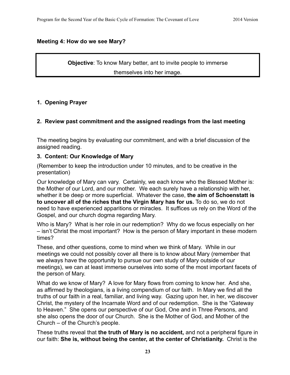#### **Meeting 4: How do we see Mary?**

**Objective**: To know Mary better, ant to invite people to immerse themselves into her image.

#### **1. Opening Prayer**

#### **2. Review past commitment and the assigned readings from the last meeting**

The meeting begins by evaluating our commitment, and with a brief discussion of the assigned reading.

#### **3. Content: Our Knowledge of Mary**

(Remember to keep the introduction under 10 minutes, and to be creative in the presentation)

Our knowledge of Mary can vary. Certainly, we each know who the Blessed Mother is: the Mother of our Lord, and our mother. We each surely have a relationship with her, whether it be deep or more superficial. Whatever the case, **the aim of Schoenstatt is to uncover all of the riches that the Virgin Mary has for us.** To do so, we do not need to have experienced apparitions or miracles. It suffices us rely on the Word of the Gospel, and our church dogma regarding Mary.

Who is Mary? What is her role in our redemption? Why do we focus especially on her – isn't Christ the most important? How is the person of Mary important in these modern times?

These, and other questions, come to mind when we think of Mary. While in our meetings we could not possibly cover all there is to know about Mary (remember that we always have the opportunity to pursue our own study of Mary outside of our meetings), we can at least immerse ourselves into some of the most important facets of the person of Mary.

What do we know of Mary? A love for Mary flows from coming to know her. And she, as affirmed by theologians, is a living compendium of our faith. In Mary we find all the truths of our faith in a real, familiar, and living way. Gazing upon her, in her, we discover Christ, the mystery of the Incarnate Word and of our redemption. She is the "Gateway to Heaven." She opens our perspective of our God, One and in Three Persons, and she also opens the door of our Church. She is the Mother of God, and Mother of the Church – of the Church's people.

These truths reveal that **the truth of Mary is no accident,** and not a peripheral figure in our faith: **She is, without being the center, at the center of Christianity.** Christ is the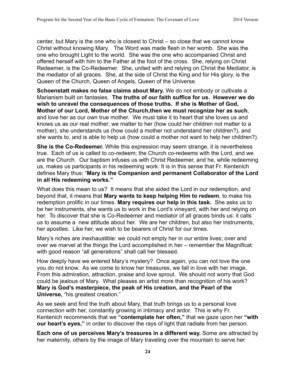center, but Mary is the one who is closest to Christ – so close that we cannot know Christ without knowing Mary. The Word was made flesh in her womb. She was the one who brought Light to the world. She was the one who accompanied Christ and offered herself with him to the Father at the foot of the cross. She, relying on Christ Redeemer, is the Co-Redeemer. She, united with and relying on Christ the Mediator, is the mediator of all graces. She, at the side of Christ the King and for His glory, is the Queen of the Church, Queen of Angels, Queen of the Universe.

**Schoenstatt makes no false claims about Mary.** We do not embody or cultivate a Marianism built on fantasies. **The truths of our faith suffice for us. However we do wish to unravel the consequences of those truths. If she is Mother of God, Mother of our Lord, Mother of the Church,then we must recognize her as such**, and love her as our own true mother. We must take it to heart that she loves us and knows us as our real mother; we matter to her (how could her children not matter to a mother), she understands us (how could a mother not understand her children?), and she wants to, and is able to help us (how could a mother not want to help her children?).

**She is the Co-Redeemer.** While this expression may seem strange, it is nevertheless true. Each of us is called to co-redeem; the Church co-redeems with the Lord, and we are the Church. Our baptism infuses us with Christ Redeemer, and he, while redeeming us, makes us participants in his redeeming work. It is in this sense that Fr. Kentenich defines Mary thus: "**Mary is the Companion and permanent Collaborator of the Lord in all His redeeming works."**

What does this mean to us? It means that she aided the Lord in our redemption, and beyond that, it means that **Mary wants to keep helping Him to redeem**, to make his redemption prolific in our times. **Mary requires our help in this task.** She asks us to be her instruments, she wants us to work in the Lord's vineyard, with her and relying on her. To discover that she is Co-Redeemer and mediator of all graces binds us: it calls us to assume a new attitude about her. We are her children, but also her instruments, her apostles. Like her, we wish to be bearers of Christ for our times.

Mary's riches are inexhaustible: we could not empty her in our entire lives; over and over we marvel at the things the Lord accomplished in her – remember the Magnificat: with good reason "all generations" shall call her blessed.

How deeply have we entered Mary's mystery? Once again, you can not love the one you do not know. As we come to know her treasures, we fall in love with her image. From this admiration, attraction, praise and love sprout. We should not worry that God could be jealous of Mary. What pleases an artist more than recognition of his work? **Mary is God's masterpiece, the peak of His creation, and the Pearl of the Universe,** "his greatest creation."

As we seek and find the truth about Mary, that truth brings us to a personal love connection with her, constantly growing in intimacy and ardor. This is why Fr. Kentenich recommends that we **"contemplate her often,"** that we gaze upon her **"with our heart's eyes,"** in order to discover the rays of light that radiate from her person.

**Each one of us perceives Mary's treasures in a different way.** Some are attracted by her maternity, others by the image of Mary traveling over the mountain to serve her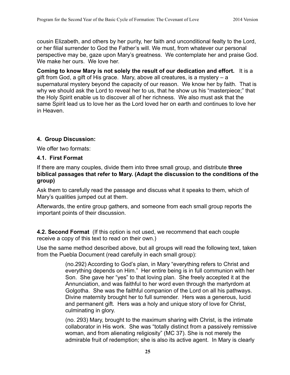cousin Elizabeth, and others by her purity, her faith and unconditional fealty to the Lord, or her filial surrender to God the Father's will. We must, from whatever our personal perspective may be, gaze upon Mary's greatness. We contemplate her and praise God. We make her ours. We love her.

**Coming to know Mary is not solely the result of our dedication and effort.** It is a gift from God, a gift of His grace. Mary, above all creatures, is a mystery – a supernatural mystery beyond the capacity of our reason. We know her by faith. That is why we should ask the Lord to reveal her to us, that he show us his "masterpiece;" that the Holy Spirit enable us to discover all of her richness. We also must ask that the same Spirit lead us to love her as the Lord loved her on earth and continues to love her in Heaven.

#### **4. Group Discussion:**

We offer two formats:

#### **4.1. First Format**

If there are many couples, divide them into three small group, and distribute **three biblical passages that refer to Mary. (Adapt the discussion to the conditions of the group)** 

Ask them to carefully read the passage and discuss what it speaks to them, which of Mary's qualities jumped out at them.

Afterwards, the entire group gathers, and someone from each small group reports the important points of their discussion.

**4.2. Second Format** (If this option is not used, we recommend that each couple receive a copy of this text to read on their own.)

Use the same method described above, but all groups will read the following text, taken from the Puebla Document (read carefully in each small group):

> (no.292) According to God's plan, in Mary "everything refers to Christ and everything depends on Him." Her entire being is in full communion with her Son. She gave her "yes" to that loving plan. She freely accepted it at the Annunciation, and was faithful to her word even through the martyrdom at Golgotha. She was the faithful companion of the Lord on all his pathways. Divine maternity brought her to full surrender. Hers was a generous, lucid and permanent gift. Hers was a holy and unique story of love for Christ, culminating in glory.

(no. 293) Mary, brought to the maximum sharing with Christ, is the intimate collaborator in His work. She was "totally distinct from a passively remissive woman, and from alienating religiosity" (MC 37). She is not merely the admirable fruit of redemption; she is also its active agent. In Mary is clearly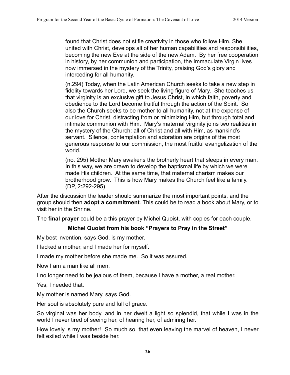found that Christ does not stifle creativity in those who follow Him. She, united with Christ, develops all of her human capabilities and responsibilities, becoming the new Eve at the side of the new Adam. By her free cooperation in history, by her communion and participation, the Immaculate Virgin lives now immersed in the mystery of the Trinity, praising God's glory and interceding for all humanity.

(n.294) Today, when the Latin American Church seeks to take a new step in fidelity towards her Lord, we seek the living figure of Mary. She teaches us that virginity is an exclusive gift to Jesus Christ, in which faith, poverty and obedience to the Lord become fruitful through the action of the Spirit. So also the Church seeks to be mother to all humanity, not at the expense of our love for Christ, distracting from or minimizing Him, but through total and intimate communion with Him. Mary's maternal virginity joins two realities in the mystery of the Church: all of Christ and all with Him, as mankind's servant. Silence, contemplation and adoration are origins of the most generous response to our commission, the most fruitful evangelization of the world.

(no. 295) Mother Mary awakens the brotherly heart that sleeps in every man. In this way, we are drawn to develop the baptismal life by which we were made His children. At the same time, that maternal charism makes our brotherhood grow. This is how Mary makes the Church feel like a family. (DP, 2:292-295)

After the discussion the leader should summarize the most important points, and the group should then **adopt a commitment**. This could be to read a book about Mary, or to visit her in the Shrine.

The **final prayer** could be a this prayer by Michel Quoist, with copies for each couple.

#### **Michel Quoist from his book "Prayers to Pray in the Street"**

My best invention, says God, is my mother.

I lacked a mother, and I made her for myself.

I made my mother before she made me. So it was assured.

Now I am a man like all men.

I no longer need to be jealous of them, because I have a mother, a real mother.

Yes, I needed that.

My mother is named Mary, says God.

Her soul is absolutely pure and full of grace.

So virginal was her body, and in her dwelt a light so splendid, that while I was in the world I never tired of seeing her, of hearing her, of admiring her.

How lovely is my mother! So much so, that even leaving the marvel of heaven, I never felt exiled while I was beside her.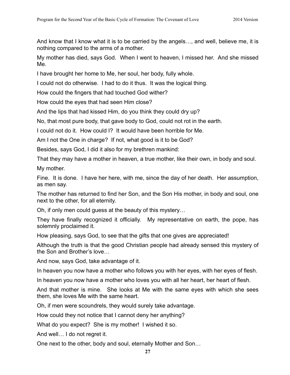And know that I know what it is to be carried by the angels…, and well, believe me, it is nothing compared to the arms of a mother.

My mother has died, says God. When I went to heaven, I missed her. And she missed Me.

I have brought her home to Me, her soul, her body, fully whole.

I could not do otherwise. I had to do it thus. It was the logical thing.

How could the fingers that had touched God wither?

How could the eyes that had seen Him close?

And the lips that had kissed Him, do you think they could dry up?

No, that most pure body, that gave body to God, could not rot in the earth.

I could not do it. How could I? It would have been horrible for Me.

Am I not the One in charge? If not, what good is it to be God?

Besides, says God, I did it also for my brethren mankind:

That they may have a mother in heaven, a true mother, like their own, in body and soul. My mother.

Fine. It is done. I have her here, with me, since the day of her death. Her assumption, as men say.

The mother has returned to find her Son, and the Son His mother, in body and soul, one next to the other, for all eternity.

Oh, if only men could guess at the beauty of this mystery…

They have finally recognized it officially. My representative on earth, the pope, has solemnly proclaimed it.

How pleasing, says God, to see that the gifts that one gives are appreciated!

Although the truth is that the good Christian people had already sensed this mystery of the Son and Brother's love…

And now, says God, take advantage of it.

In heaven you now have a mother who follows you with her eyes, with her eyes of flesh.

In heaven you now have a mother who loves you with all her heart, her heart of flesh.

And that mother is mine. She looks at Me with the same eyes with which she sees them, she loves Me with the same heart.

Oh, if men were scoundrels, they would surely take advantage.

How could they not notice that I cannot deny her anything?

What do you expect? She is my mother! I wished it so.

And well… I do not regret it.

One next to the other, body and soul, eternally Mother and Son…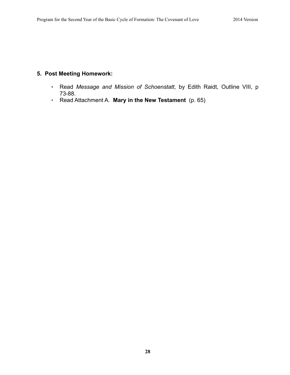#### **5. Post Meeting Homework:**

- Read *Message and Mission of Schoenstatt*, by Edith Raidt, Outline VIII, p 73-88.
- Read Attachment A. **Mary in the New Testament** (p. 65)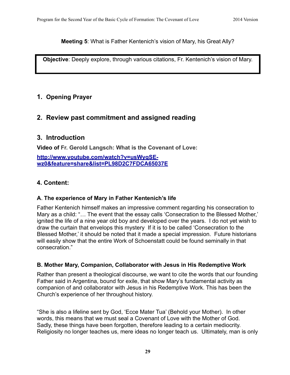**Meeting 5**: What is Father Kentenich's vision of Mary, his Great Ally?

**Objective**: Deeply explore, through various citations, Fr. Kentenich's vision of Mary.

## **1. Opening Prayer**

## **2. Review past commitment and assigned reading**

## **3. Introduction**

**Video of Fr. Gerold Langsch: What is the Covenant of Love:**

**http://www.youtube.com/watch?v=usWyqSEwz0&feature=share&list=PL98D2C7FDCA65037E**

## **4. Content:**

#### **A**. **The experience of Mary in Father Kentenich's life**

Father Kentenich himself makes an impressive comment regarding his consecration to Mary as a child: "… The event that the essay calls 'Consecration to the Blessed Mother,' ignited the life of a nine year old boy and developed over the years. I do not yet wish to draw the curtain that envelops this mystery If it is to be called 'Consecration to the Blessed Mother,' it should be noted that it made a special impression. Future historians will easily show that the entire Work of Schoenstatt could be found seminally in that consecration."

#### **B. Mother Mary, Companion, Collaborator with Jesus in His Redemptive Work**

Rather than present a theological discourse, we want to cite the words that our founding Father said in Argentina, bound for exile, that show Mary's fundamental activity as companion of and collaborator with Jesus in his Redemptive Work. This has been the Church's experience of her throughout history.

"She is also a lifeline sent by God, 'Ecce Mater Tua' (Behold your Mother). In other words, this means that we must seal a Covenant of Love with the Mother of God. Sadly, these things have been forgotten, therefore leading to a certain mediocrity. Religiosity no longer teaches us, mere ideas no longer teach us. Ultimately, man is only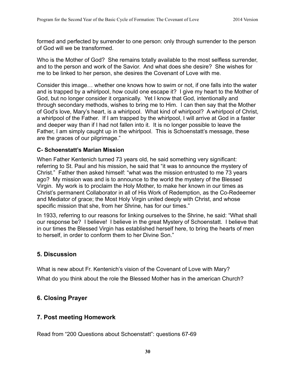formed and perfected by surrender to one person: only through surrender to the person of God will we be transformed.

Who is the Mother of God? She remains totally available to the most selfless surrender, and to the person and work of the Savior. And what does she desire? She wishes for me to be linked to her person, she desires the Covenant of Love with me.

Consider this image… whether one knows how to swim or not, if one falls into the water and is trapped by a whirlpool, how could one escape it? I give my heart to the Mother of God, but no longer consider it organically. Yet I know that God, intentionally and through secondary methods, wishes to bring me to Him. I can then say that the Mother of God's love, Mary's heart, is a whirlpool. What kind of whirlpool? A whirlpool of Christ, a whirlpool of the Father. If I am trapped by the whirlpool, I will arrive at God in a faster and deeper way than if I had not fallen into it. It is no longer possible to leave the Father, I am simply caught up in the whirlpool. This is Schoenstatt's message, these are the graces of our pilgrimage."

#### **C- Schoenstatt's Marian Mission**

When Father Kentenich turned 73 years old, he said something very significant: referring to St. Paul and his mission, he said that "it was to announce the mystery of Christ." Father then asked himself: "what was the mission entrusted to me 73 years ago? My mission was and is to announce to the world the mystery of the Blessed Virgin. My work is to proclaim the Holy Mother, to make her known in our times as Christ's permanent Collaborator in all of His Work of Redemption, as the Co-Redeemer and Mediator of grace; the Most Holy Virgin united deeply with Christ, and whose specific mission that she, from her Shrine, has for our times."

In 1933, referring to our reasons for linking ourselves to the Shrine, he said: "What shall our response be? I believe! I believe in the great Mystery of Schoenstatt. I believe that in our times the Blessed Virgin has established herself here, to bring the hearts of men to herself, in order to conform them to her Divine Son."

#### **5. Discussion**

What is new about Fr. Kentenich's vision of the Covenant of Love with Mary? What do you think about the role the Blessed Mother has in the american Church?

## **6. Closing Prayer**

## **7. Post meeting Homework**

Read from "200 Questions about Schoenstatt": questions 67-69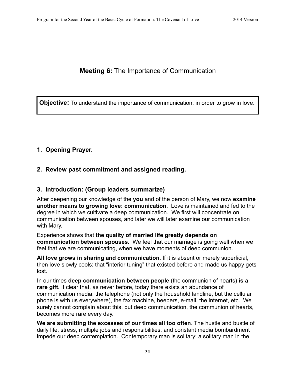## **Meeting 6:** The Importance of Communication

**Objective:** To understand the importance of communication, in order to grow in love.

## **1. Opening Prayer.**

**2. Review past commitment and assigned reading.**

### **3. Introduction: (Group leaders summarize)**

After deepening our knowledge of the **you** and of the person of Mary, we now **examine another means to growing love: communication.** Love is maintained and fed to the degree in which we cultivate a deep communication. We first will concentrate on communication between spouses, and later we will later examine our communication with Mary.

Experience shows that **the quality of married life greatly depends on communication between spouses.** We feel that our marriage is going well when we feel that we are communicating, when we have moments of deep communion.

**All love grows in sharing and communication.** If it is absent or merely superficial, then love slowly cools; that "interior tuning" that existed before and made us happy gets lost.

In our times **deep communication between people** (the communion of hearts) **is a rare gift.** It clear that, as never before, today there exists an abundance of communication media: the telephone (not only the household landline, but the cellular phone is with us everywhere), the fax machine, beepers, e-mail, the internet, etc. We surely cannot complain about this, but deep communication, the communion of hearts, becomes more rare every day.

**We are submitting the excesses of our times all too often**. The hustle and bustle of daily life, stress, multiple jobs and responsibilities, and constant media bombardment impede our deep contemplation. Contemporary man is solitary: a solitary man in the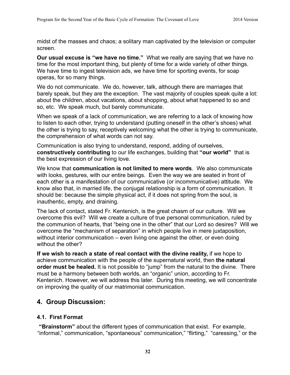midst of the masses and chaos; a solitary man captivated by the television or computer screen.

**Our usual excuse is "we have no time."** What we really are saying that we have no time for the most important thing, but plenty of time for a wide variety of other things. We have time to ingest television ads, we have time for sporting events, for soap operas, for so many things.

We do not communicate. We do, however, talk, although there are marriages that barely speak, but they are the exception. The vast majority of couples speak quite a lot: about the children, about vacations, about shopping, about what happened to so and so, etc. We speak much, but barely communicate.

When we speak of a lack of communication, we are referring to a lack of knowing how to listen to each other, trying to understand (putting oneself in the other's shoes) what the other is trying to say, receptively welcoming what the other is trying to communicate, the comprehension of what words can not say.

Communication is also trying to understand, respond, adding of ourselves, **constructively contributing** to our life exchanges, building that **"our world"** that is the best expression of our living love.

We know that **communication is not limited to mere words**. We also communicate with looks, gestures, with our entire beings. Even the way we are seated in front of each other is a manifestation of our communicative (or incommunicative) attitude. We know also that, in married life, the conjugal relationship is a form of communication. It should be: because the simple physical act, if it does not spring from the soul, is inauthentic, empty, and draining.

The lack of contact, stated Fr. Kentenich, is the great chasm of our culture. Will we overcome this evil? Will we create a culture of true personal communication, ruled by the communion of hearts, that "being one in the other" that our Lord so desires? Will we overcome the "mechanism of separation" in which people live in mere juxtaposition, without interior communication – even living one against the other, or even doing without the other?

**If we wish to reach a state of real contact with the divine reality,** if we hope to achieve communication with the people of the supernatural world, then **the natural order must be healed.** It is not possible to "jump" from the natural to the divine. There must be a harmony between both worlds, an "organic" union, according to Fr. Kentenich. However, we will address this later. During this meeting, we will concentrate on improving the quality of our matrimonial communication.

## **4. Group Discussion:**

## **4.1. First Format**

**"Brainstorm"** about the different types of communication that exist. For example, "informal," communication, "spontaneous" communication," "flirting," "caressing," or the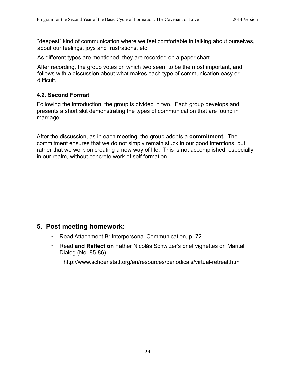"deepest" kind of communication where we feel comfortable in talking about ourselves, about our feelings, joys and frustrations, etc.

As different types are mentioned, they are recorded on a paper chart.

After recording, the group votes on which two seem to be the most important, and follows with a discussion about what makes each type of communication easy or difficult.

#### **4.2. Second Format**

Following the introduction, the group is divided in two. Each group develops and presents a short skit demonstrating the types of communication that are found in marriage.

After the discussion, as in each meeting, the group adopts a **commitment.** The commitment ensures that we do not simply remain stuck in our good intentions, but rather that we work on creating a new way of life. This is not accomplished, especially in our realm, without concrete work of self formation.

## **5. Post meeting homework:**

- Read Attachment B: Interpersonal Communication, p. 72.
- Read **and Reflect on** Father Nicolás Schwizer's brief vignettes on Marital Dialog (No. 85-86)

http://www.schoenstatt.org/en/resources/periodicals/virtual-retreat.htm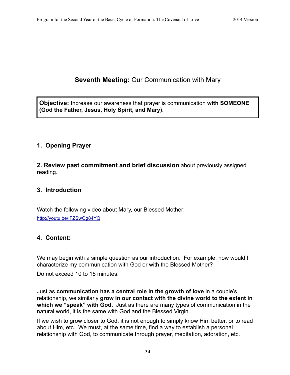## **Seventh Meeting:** Our Communication with Mary

**Objective:** Increase our awareness that prayer is communication **with SOMEONE (God the Father, Jesus, Holy Spirit, and Mary)**.

## **1. Opening Prayer**

**2. Review past commitment and brief discussion** about previously assigned reading.

#### **3. Introduction**

Watch the following video about Mary, our Blessed Mother: http://youtu.be/IFZSwOg84YQ

## **4. Content:**

We may begin with a simple question as our introduction. For example, how would I characterize my communication with God or with the Blessed Mother?

Do not exceed 10 to 15 minutes.

Just as **communication has a central role in the growth of love** in a couple's relationship, we similarly **grow in our contact with the divine world to the extent in which we "speak" with God.** Just as there are many types of communication in the natural world, it is the same with God and the Blessed Virgin.

If we wish to grow closer to God, it is not enough to simply know Him better, or to read about Him, etc. We must, at the same time, find a way to establish a personal relationship with God, to communicate through prayer, meditation, adoration, etc.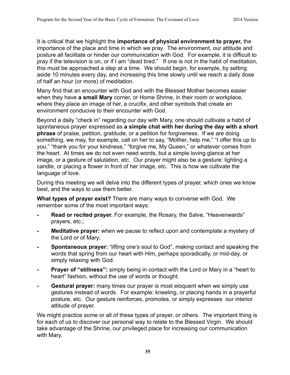It is critical that we highlight the **importance of physical environment to prayer,** the importance of the place and time in which we pray. The environment, our attitude and posture all facilitate or hinder our communication with God. For example, it is difficult to pray if the television is on, or if I am "dead tired." If one is not in the habit of meditation, this must be approached a step at a time. We should begin, for example, by setting aside 10 minutes every day, and increasing this time slowly until we reach a daily dose of half an hour (or more) of meditation.

Many find that an encounter with God and with the Blessed Mother becomes easier when they have **a small Mary** corner, or Home Shrine, in their room or workplace, where they place an image of her, a crucifix, and other symbols that create an environment conducive to their encounter with God.

Beyond a daily "check in" regarding our day with Mary, one should cultivate a habit of spontaneous prayer expressed as **a simple chat with her during the day with a short phrase** of praise, petition, gratitude, or a petition for forgiveness. If we are doing something, we may, for example, call on her to say, "Mother, help me," "I offer this up to you," "thank you for your kindness," "forgive me, My Queen," or whatever comes from the heart. At times we do not even need words, but a simple loving glance at her image, or a gesture of salutation, etc. Our prayer might also be a gesture: lighting a candle, or placing a flower in front of her image, etc. This is how we cultivate the language of love.

During this meeting we will delve into the different types of prayer, which ones we know best, and the ways to use them better.

**What types of prayer exist?** There are many ways to converse with God. We remember some of the most important ways:

- **Read or recited prayer.** For example, the Rosary, the Salve, "Heavenwards" prayers, etc.;
- **Meditative prayer:** when we pause to reflect upon and contemplate a mystery of the Lord or of Mary;
- **Spontaneous prayer:** "lifting one's soul to God", making contact and speaking the words that spring from our heart with Him, perhaps sporadically, or mid-day, or simply relaxing with God.
- **Prayer of "stillness":** simply being in contact with the Lord or Mary in a "heart to heart" fashion, without the use of words or thought.
- **Gestural prayer:** many times our prayer is most eloquent when we simply use gestures instead of words. For example: kneeling, or placing hands in a prayerful posture, etc. Our gesture reinforces, promotes, or simply expresses our interior attitude of prayer.

We might practice some or all of these types of prayer, or others. The important thing is for each of us to discover our personal way to relate to the Blessed Virgin. We should take advantage of the Shrine, our privileged place for increasing our communication with Mary.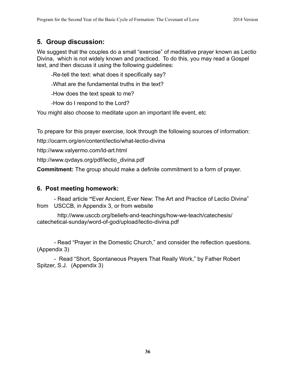## **5. Group discussion:**

We suggest that the couples do a small "exercise" of meditative prayer known as Lectio Divina, which is not widely known and practiced. To do this, you may read a Gospel text, and then discuss it using the following guidelines:

-Re-tell the text: what does it specifically say?

-What are the fundamental truths in the text?

-How does the text speak to me?

-How do I respond to the Lord?

You might also choose to meditate upon an important life event, etc

To prepare for this prayer exercise, look through the following sources of information:

http://ocarm.org/en/content/lectio/what-lectio-divina

http://www.valyermo.com/ld-art.html

http://www.qvdays.org/pdf/lectio\_divina.pdf

**Commitment:** The group should make a definite commitment to a form of prayer.

## **6. Post meeting homework:**

- Read article **"**Ever Ancient, Ever New: The Art and Practice of Lectio Divina" from USCCB, in Appendix 3, or from website

 http://www.usccb.org/beliefs-and-teachings/how-we-teach/catechesis/ catechetical-sunday/word-of-god/upload/lectio-divina.pdf

- Read "Prayer in the Domestic Church," and consider the reflection questions. (Appendix 3)

 - Read "Short, Spontaneous Prayers That Really Work," by Father Robert Spitzer, S.J. (Appendix 3)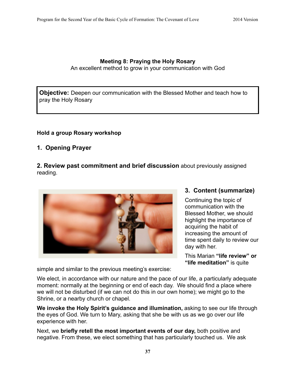#### **Meeting 8: Praying the Holy Rosary**

An excellent method to grow in your communication with God

**Objective:** Deepen our communication with the Blessed Mother and teach how to pray the Holy Rosary

#### **Hold a group Rosary workshop**

**1. Opening Prayer**

**2. Review past commitment and brief discussion** about previously assigned reading.



## **3. Content (summarize)**

Continuing the topic of communication with the Blessed Mother, we should highlight the importance of acquiring the habit of increasing the amount of time spent daily to review our day with her.

This Marian **"life review" or "life meditation"** is quite

simple and similar to the previous meeting's exercise:

We elect, in accordance with our nature and the pace of our life, a particularly adequate moment: normally at the beginning or end of each day. We should find a place where we will not be disturbed (if we can not do this in our own home); we might go to the Shrine, or a nearby church or chapel.

**We invoke the Holy Spirit's guidance and illumination,** asking to see our life through the eyes of God. We turn to Mary, asking that she be with us as we go over our life experience with her.

Next, we **briefly retell the most important events of our day,** both positive and negative. From these, we elect something that has particularly touched us. We ask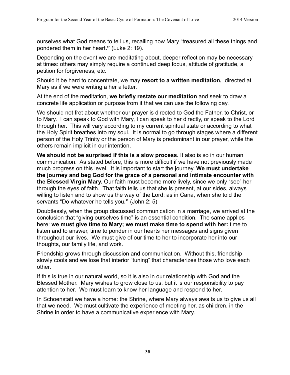ourselves what God means to tell us, recalling how Mary "treasured all these things and pondered them in her heart**."** (Luke 2: 19).

Depending on the event we are meditating about, deeper reflection may be necessary at times: others may simply require a continued deep focus, attitude of gratitude, a petition for forgiveness, etc.

Should it be hard to concentrate, we may **resort to a written meditation,** directed at Mary as if we were writing a her a letter.

At the end of the meditation, **we briefly restate our meditation** and seek to draw a concrete life application or purpose from it that we can use the following day.

We should not fret about whether our prayer is directed to God the Father, to Christ, or to Mary. I can speak to God with Mary, I can speak to her directly, or speak to the Lord through her. This will vary according to my current spiritual state or according to what the Holy Spirit breathes into my soul. It is normal to go through stages where a different person of the Holy Trinity or the person of Mary is predominant in our prayer, while the others remain implicit in our intention.

**We should not be surprised if this is a slow process.** It also is so in our human communication. As stated before, this is more difficult if we have not previously made much progress on this level. It is important to start the journey. **We must undertake the journey and beg God for the grace of a personal and intimate encounter with the Blessed Virgin Mary.** Our faith must become more lively, since we only "see" her through the eyes of faith. That faith tells us that she is present, at our sides, always willing to listen and to show us the way of the Lord; as in Cana, when she told the servants "Do whatever he tells you**."** (John 2: 5)

Doubtlessly, when the group discussed communication in a marriage, we arrived at the conclusion that "giving ourselves time" is an essential condition. The same applies here: **we must give time to Mary; we must make time to spend with her:** time to listen and to answer, time to ponder in our hearts her messages and signs given throughout our lives. We must give of our time to her to incorporate her into our thoughts, our family life, and work.

Friendship grows through discussion and communication. Without this, friendship slowly cools and we lose that interior "tuning" that characterizes those who love each other.

If this is true in our natural world, so it is also in our relationship with God and the Blessed Mother. Mary wishes to grow close to us, but it is our responsibility to pay attention to her. We must learn to know her language and respond to her.

In Schoenstatt we have a home: the Shrine, where Mary always awaits us to give us all that we need. We must cultivate the experience of meeting her, as children, in the Shrine in order to have a communicative experience with Mary.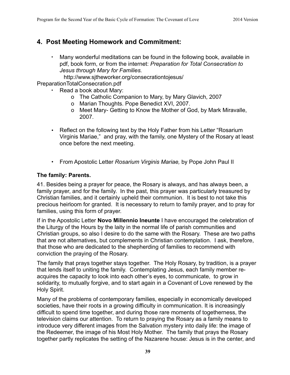# **4. Post Meeting Homework and Commitment:**

• Many wonderful meditations can be found in the following book, available in pdf, book form, or from the internet: *Preparation for Total Consecration to Jesus through Mary for Families.* 

http://www.sjtheworker.org/consecrationtojesus/

PreparationTotalConsecration.pdf

- Read a book about Mary:
	- o The Catholic Companion to Mary, by Mary Glavich, 2007
	- o Marian Thoughts. Pope Benedict XVI, 2007.
	- o Meet Mary- Getting to Know the Mother of God, by Mark Miravalle, 2007.
- Reflect on the following text by the Holy Father from his Letter "Rosarium Virginis Mariae," and pray, with the family, one Mystery of the Rosary at least once before the next meeting.
- From Apostolic Letter *Rosarium Virginis Mariae,* by Pope John Paul II

#### **The family: Parents.**

41. Besides being a prayer for peace, the Rosary is always, and has always been, a family prayer, and for the family. In the past, this prayer was particularly treasured by Christian families, and it certainly upheld their communion. It is best to not take this precious heirloom for granted. It is necessary to return to family prayer, and to pray for families, using this form of prayer.

If in the Apostolic Letter **Novo Millennio Ineunte** I have encouraged the celebration of the Liturgy of the Hours by the laity in the normal life of parish communities and Christian groups, so also I desire to do the same with the Rosary. These are two paths that are not alternatives, but complements in Christian contemplation. I ask, therefore, that those who are dedicated to the shepherding of families to recommend with conviction the praying of the Rosary.

The family that prays together stays together. The Holy Rosary, by tradition, is a prayer that lends itself to uniting the family. Contemplating Jesus, each family member reacquires the capacity to look into each other's eyes, to communicate, to grow in solidarity, to mutually forgive, and to start again in a Covenant of Love renewed by the Holy Spirit.

Many of the problems of contemporary families, especially in economically developed societies, have their roots in a growing difficulty in communication. It is increasingly difficult to spend time together, and during those rare moments of togetherness, the television claims our attention. To return to praying the Rosary as a family means to introduce very different images from the Salvation mystery into daily life: the image of the Redeemer, the image of his Most Holy Mother. The family that prays the Rosary together partly replicates the setting of the Nazarene house: Jesus is in the center, and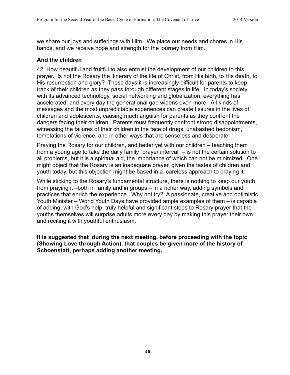we share our joys and sufferings with Him. We place our needs and chores in His hands, and we receive hope and strength for the journey from Him.

#### **And the children**

42. How beautiful and fruitful to also entrust the development of our children to this prayer. Is not the Rosary the itinerary of the life of Christ, from His birth, to His death, to His resurrection and glory? These days it is increasingly difficult for parents to keep track of their children as they pass through different stages in life. In today's society with its advanced technology, social networking and globalization, everything has accelerated, and every day the generational gap widens even more. All kinds of messages and the most unpredictable experiences can create fissures in the lives of children and adolescents, causing much anguish for parents as they confront the dangers facing their children. Parents must frequently confront strong disappointments, witnessing the failures of their children in the face of drugs, unabashed hedonism, temptations of violence, and in other ways that are senseless and desperate

Praying the Rosary for our children, and better yet with our children – teaching them from a young age to take the daily family "prayer interval" – is not the certain solution to all problems, but it is a spiritual aid, the importance of which can not be minimized. One might object that the Rosary is an inadequate prayer, given the tastes of children and youth today, but this objection might be based in a careless approach to praying it.

While sticking to the Rosary's fundamental structure, there is nothing to keep our youth from praying it –both in family and in groups – in a richer way, adding symbols and practices that enrich the experience. Why not try? A passionate, creative and optimistic Youth Minister – World Youth Days have provided ample examples of them – is capable of adding, with God's help, truly helpful and significant steps to Rosary prayer that the youths themselves will surprise adults more every day by making this prayer their own and reciting it with youthful enthusiasm.

**It is suggested that during the next meeting, before proceeding with the topic (Showing Love through Action), that couples be given more of the history of Schoenstatt, perhaps adding another meeting.**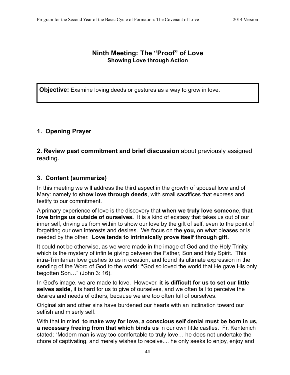# **Ninth Meeting: The "Proof" of Love Showing Love through Action**

**Objective:** Examine loving deeds or gestures as a way to grow in love.

# **1. Opening Prayer**

**2. Review past commitment and brief discussion** about previously assigned reading.

## **3. Content (summarize)**

In this meeting we will address the third aspect in the growth of spousal love and of Mary: namely to **show love through deeds**, with small sacrifices that express and testify to our commitment.

A primary experience of love is the discovery that **when we truly love someone, that love brings us outside of ourselves.** It is a kind of ecstasy that takes us out of our inner self, driving us from within to show our love by the gift of self, even to the point of forgetting our own interests and desires. We focus on the **you,** on what pleases or is needed by the other. **Love tends to intrinsically prove itself through gift.** 

It could not be otherwise, as we were made in the image of God and the Holy Trinity, which is the mystery of infinite giving between the Father, Son and Holy Spirit. This intra-Trinitarian love gushes to us in creation, and found its ultimate expression in the sending of the Word of God to the world: **"**God so loved the world that He gave His only begotten Son…" (John 3: 16).

In God's image, we are made to love. However, **it is difficult for us to set our little selves aside,** it is hard for us to give of ourselves, and we often fail to perceive the desires and needs of others, because we are too often full of ourselves.

Original sin and other sins have burdened our hearts with an inclination toward our selfish and miserly self.

With that in mind, **to make way for love, a conscious self denial must be born in us, a necessary freeing from that which binds us** in our own little castles. Fr. Kentenich stated; "Modern man is way too comfortable to truly love… he does not undertake the chore of captivating, and merely wishes to receive.... he only seeks to enjoy, enjoy and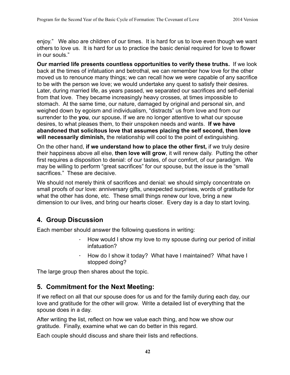enjoy." We also are children of our times. It is hard for us to love even though we want others to love us. It is hard for us to practice the basic denial required for love to flower in our souls."

**Our married life presents countless opportunities to verify these truths.** If we look back at the times of infatuation and betrothal, we can remember how love for the other moved us to renounce many things; we can recall how we were capable of any sacrifice to be with the person we love; we would undertake any quest to satisfy their desires. Later, during married life, as years passed, we separated our sacrifices and self-denial from that love. They became increasingly heavy crosses, at times impossible to stomach. At the same time, our nature, damaged by original and personal sin, and weighed down by egoism and individualism, "distracts" us from love and from our surrender to the **you**, our spouse**.** If we are no longer attentive to what our spouse desires, to what pleases them, to their unspoken needs and wants. **If we have abandoned that solicitous love that assumes placing the self second, then love will necessarily diminish,** the relationship will cool to the point of extinguishing.

On the other hand, **if we understand how to place the other first,** if we truly desire their happiness above all else, **then love will grow**, it will renew daily. Putting the other first requires a disposition to denial: of our tastes, of our comfort, of our paradigm. We may be willing to perform "great sacrifices" for our spouse, but the issue is the "small sacrifices." These are decisive.

We should not merely think of sacrifices and denial: we should simply concentrate on small proofs of our love: anniversary gifts, unexpected surprises, words of gratitude for what the other has done, etc. These small things renew our love, bring a new dimension to our lives, and bring our hearts closer. Every day is a day to start loving.

# **4. Group Discussion**

Each member should answer the following questions in writing:

- · How would I show my love to my spouse during our period of initial infatuation?
- How do I show it today? What have I maintained? What have I stopped doing?

The large group then shares about the topic.

# **5. Commitment for the Next Meeting:**

If we reflect on all that our spouse does for us and for the family during each day, our love and gratitude for the other will grow. Write a detailed list of everything that the spouse does in a day.

After writing the list, reflect on how we value each thing, and how we show our gratitude. Finally, examine what we can do better in this regard.

Each couple should discuss and share their lists and reflections.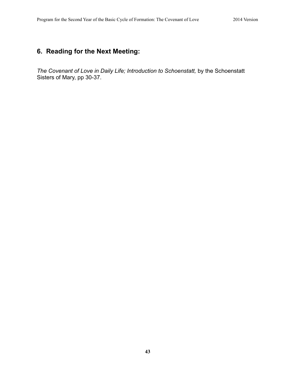# **6. Reading for the Next Meeting:**

*The Covenant of Love in Daily Life; Introduction to Schoenstatt,* by the Schoenstatt Sisters of Mary, pp 30-37.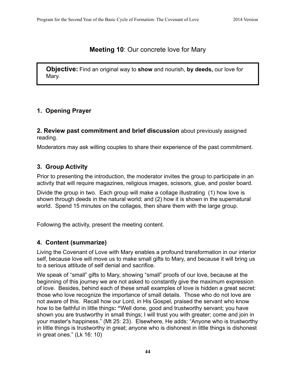# **Meeting 10**: Our concrete love for Mary

**Objective:** Find an original way to **show** and nourish, **by deeds,** our love for Mary.

## **1. Opening Prayer**

**2. Review past commitment and brief discussion** about previously assigned reading.

Moderators may ask willing couples to share their experience of the past commitment.

## **3. Group Activity**

Prior to presenting the introduction, the moderator invites the group to participate in an activity that will require magazines, religious images, scissors, glue, and poster board.

Divide the group in two. Each group will make a collage illustrating (1) how love is shown through deeds in the natural world; and (2) how it is shown in the supernatural world. Spend 15 minutes on the collages, then share them with the large group.

Following the activity, present the meeting content.

## **4. Content (summarize)**

Living the Covenant of Love with Mary enables a profound transformation in our interior self, because love will move us to make small gifts to Mary, and because it will bring us to a serious attitude of self denial and sacrifice.

We speak of "small" gifts to Mary, showing "small" proofs of our love, because at the beginning of this journey we are not asked to constantly give the maximum expression of love. Besides, behind each of these small examples of love is hidden a great secret: those who love recognize the importance of small details. Those who do not love are not aware of this. Recall how our Lord, in His Gospel, praised the servant who know how to be faithful in little things**: "**Well done, good and trustworthy servant; you have shown you are trustworthy in small things; I will trust you with greater; come and join in your master's happiness." (Mt 25: 23). Elsewhere, He adds: "Anyone who is trustworthy in little things is trustworthy in great; anyone who is dishonest in little things is dishonest in great ones." (Lk 16: 10)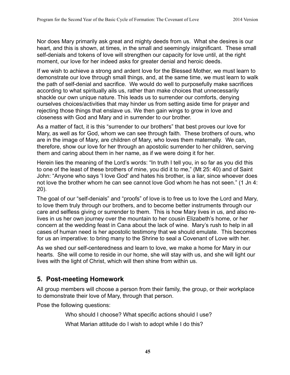Nor does Mary primarily ask great and mighty deeds from us. What she desires is our heart, and this is shown, at times, in the small and seemingly insignificant. These small self-denials and tokens of love will strengthen our capacity for love until, at the right moment, our love for her indeed asks for greater denial and heroic deeds.

If we wish to achieve a strong and ardent love for the Blessed Mother, we must learn to demonstrate our love through small things, and, at the same time, we must learn to walk the path of self-denial and sacrifice. We would do well to purposefully make sacrifices according to what spiritually ails us, rather than make choices that unnecessarily shackle our own unique nature. This leads us to surrender our comforts, denying ourselves choices/activities that may hinder us from setting aside time for prayer and rejecting those things that enslave us. We then gain wings to grow in love and closeness with God and Mary and in surrender to our brother.

As a matter of fact, it is this "surrender to our brothers" that best proves our love for Mary, as well as for God, whom we can see through faith. These brothers of ours, who are in the image of Mary, are children of Mary, who loves them maternally. We can, therefore, show our love for her through an apostolic surrender to her children, serving them and caring about them in her name, as if we were doing it for her.

Herein lies the meaning of the Lord's words: "In truth I tell you, in so far as you did this to one of the least of these brothers of mine, you did it to me," (Mt 25: 40) and of Saint John: "Anyone who says 'I love God' and hates his brother, is a liar, since whoever does not love the brother whom he can see cannot love God whom he has not seen." (1 Jn 4: 20).

The goal of our "self-denials" and "proofs" of love is to free us to love the Lord and Mary, to love them truly through our brothers, and to become better instruments through our care and selfless giving or surrender to them. This is how Mary lives in us, and also relives in us her own journey over the mountain to her cousin Elizabeth's home, or her concern at the wedding feast in Cana about the lack of wine. Mary's rush to help in all cases of human need is her apostolic testimony that we should emulate. This becomes for us an imperative: to bring many to the Shrine to seal a Covenant of Love with her.

As we shed our self-centeredness and learn to love, we make a home for Mary in our hearts. She will come to reside in our home, she will stay with us, and she will light our lives with the light of Christ, which will then shine from within us.

# **5. Post-meeting Homework**

All group members will choose a person from their family, the group, or their workplace to demonstrate their love of Mary, through that person.

Pose the following questions:

Who should I choose? What specific actions should I use?

What Marian attitude do I wish to adopt while I do this?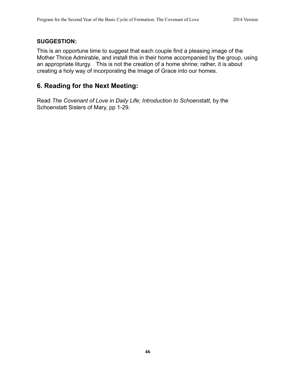#### **SUGGESTION:**

This is an opportune time to suggest that each couple find a pleasing image of the Mother Thrice Admirable, and install this in their home accompanied by the group, using an appropriate liturgy. This is not the creation of a home shrine; rather, it is about creating a holy way of incorporating the Image of Grace into our homes.

# **6. Reading for the Next Meeting:**

Read *The Covenant of Love in Daily Life; Introduction to Schoenstatt,* by the Schoenstatt Sisters of Mary, pp 1-29.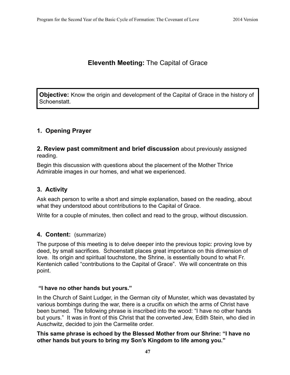# **Eleventh Meeting:** The Capital of Grace

**Objective:** Know the origin and development of the Capital of Grace in the history of Schoenstatt.

# **1. Opening Prayer**

#### **2. Review past commitment and brief discussion** about previously assigned reading.

Begin this discussion with questions about the placement of the Mother Thrice Admirable images in our homes, and what we experienced.

## **3. Activity**

Ask each person to write a short and simple explanation, based on the reading, about what they understood about contributions to the Capital of Grace.

Write for a couple of minutes, then collect and read to the group, without discussion.

#### **4. Content:** (summarize)

The purpose of this meeting is to delve deeper into the previous topic: proving love by deed, by small sacrifices. Schoenstatt places great importance on this dimension of love. Its origin and spiritual touchstone, the Shrine, is essentially bound to what Fr. Kentenich called "contributions to the Capital of Grace". We will concentrate on this point.

#### **"I have no other hands but yours."**

In the Church of Saint Ludger, in the German city of Munster, which was devastated by various bombings during the war, there is a crucifix on which the arms of Christ have been burned. The following phrase is inscribed into the wood: "I have no other hands but yours." It was in front of this Christ that the converted Jew, Edith Stein, who died in Auschwitz, decided to join the Carmelite order.

**This same phrase is echoed by the Blessed Mother from our Shrine: "I have no other hands but yours to bring my Son's Kingdom to life among you."**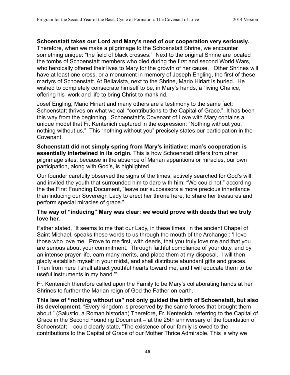#### **Schoenstatt takes our Lord and Mary's need of our cooperation very seriously.**

Therefore, when we make a pilgrimage to the Schoenstatt Shrine, we encounter something unique: "the field of black crosses." Next to the original Shrine are located the tombs of Schoenstatt members who died during the first and second World Wars, who heroically offered their lives to Mary for the growth of her cause. Other Shrines will have at least one cross, or a monument in memory of Joseph Engling, the first of these martyrs of Schoenstatt. At Bellavista, next to the Shrine, Mario Hiriart is buried. He wished to completely consecrate himself to be, in Mary's hands, a "living Chalice," offering his work and life to bring Christ to mankind.

Josef Engling, Mario Hiriart and many others are a testimony to the same fact: Schoenstatt thrives on what we call "contributions to the Capital of Grace." It has been this way from the beginning. Schoenstatt's Covenant of Love with Mary contains a unique model that Fr. Kentenich captured in the expression: "Nothing without you, nothing without us." This "nothing without you" precisely states our participation in the Covenant.

**Schoenstatt did not simply spring from Mary's initiative: man's cooperation is essentially intertwined in its origin.** This is how Schoenstatt differs from other pilgrimage sites, because in the absence of Marian apparitions or miracles, our own participation, along with God's, is highlighted.

Our founder carefully observed the signs of the times, actively searched for God's will, and invited the youth that surrounded him to dare with him: "We could not," according the the First Founding Document, "leave our successors a more precious inheritance than inducing our Sovereign Lady to erect her throne here, to share her treasures and perform special miracles of grace."

#### **The way of "inducing" Mary was clear: we would prove with deeds that we truly love her.**

Father stated, "It seems to me that our Lady, in these times, in the ancient Chapel of Saint Michael, speaks these words to us through the mouth of the Archangel: 'I love those who love me. Prove to me first, with deeds, that you truly love me and that you are serious about your commitment. Through faithful compliance of your duty, and by an intense prayer life, earn many merits, and place them at my disposal. I will then gladly establish myself in your midst, and shall distribute abundant gifts and graces. Then from here I shall attract youthful hearts toward me, and I will educate them to be useful instruments in my hand.'"

Fr. Kentenich therefore called upon the Family to be Mary's collaborating hands at her Shrines to further the Marian reign of God the Father on earth.

**This law of "nothing without us" not only guided the birth of Schoenstatt, but also its development.** "Every kingdom is preserved by the same forces that brought them about." (Salustio, a Roman historian) Therefore, Fr. Kentenich, referring to the Capital of Grace in the Second Founding Document – at the 25th anniversary of the foundation of Schoenstatt – could clearly state, "The existence of our family is owed to the contributions to the Capital of Grace of our Mother Thrice Admirable. This is why we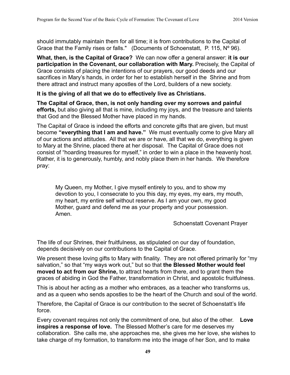should immutably maintain them for all time; it is from contributions to the Capital of Grace that the Family rises or falls." (Documents of Schoenstatt, P. 115, Nº 96).

**What, then, is the Capital of Grace?** We can now offer a general answer: **it is our participation in the Covenant, our collaboration with Mary.** Precisely, the Capital of Grace consists of placing the intentions of our prayers, our good deeds and our sacrifices in Mary's hands, in order for her to establish herself in the Shrine and from there attract and instruct many apostles of the Lord, builders of a new society.

**It is the giving of all that we do to effectively live as Christians.** 

**The Capital of Grace, then, is not only handing over my sorrows and painful efforts,** but also giving all that is mine, including my joys, and the treasure and talents that God and the Blessed Mother have placed in my hands.

The Capital of Grace is indeed the efforts and concrete gifts that are given, but must become **"everything that I am and have."** We must eventually come to give Mary all of our actions and attitudes. All that we are or have, all that we do, everything is given to Mary at the Shrine, placed there at her disposal. The Capital of Grace does not consist of "hoarding treasures for myself," in order to win a place in the heavenly host. Rather, it is to generously, humbly, and nobly place them in her hands. We therefore pray:

My Queen, my Mother, I give myself entirely to you, and to show my devotion to you, I consecrate to you this day, my eyes, my ears, my mouth, my heart, my entire self without reserve. As I am your own, my good Mother, guard and defend me as your property and your possession. Amen.

#### Schoenstatt Covenant Prayer

The life of our Shrines, their fruitfulness, as stipulated on our day of foundation, depends decisively on our contributions to the Capital of Grace.

We present these loving gifts to Mary with finality. They are not offered primarily for "my salvation," so that "my ways work out," but so that **the Blessed Mother would feel moved to act from our Shrine,** to attract hearts from there, and to grant them the graces of abiding in God the Father, transformation in Christ, and apostolic fruitfulness.

This is about her acting as a mother who embraces, as a teacher who transforms us, and as a queen who sends apostles to be the heart of the Church and soul of the world.

Therefore, the Capital of Grace is our contribution to the secret of Schoenstatt's life force.

Every covenant requires not only the commitment of one, but also of the other. **Love inspires a response of love.** The Blessed Mother's care for me deserves my collaboration. She calls me, she approaches me, she gives me her love, she wishes to take charge of my formation, to transform me into the image of her Son, and to make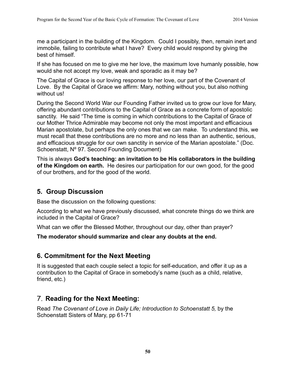me a participant in the building of the Kingdom. Could I possibly, then, remain inert and immobile, failing to contribute what I have? Every child would respond by giving the best of himself.

If she has focused on me to give me her love, the maximum love humanly possible, how would she not accept my love, weak and sporadic as it may be?

The Capital of Grace is our loving response to her love, our part of the Covenant of Love. By the Capital of Grace we affirm: Mary, nothing without you, but also nothing without us!

During the Second World War our Founding Father invited us to grow our love for Mary, offering abundant contributions to the Capital of Grace as a concrete form of apostolic sanctity. He said "The time is coming in which contributions to the Capital of Grace of our Mother Thrice Admirable may become not only the most important and efficacious Marian apostolate, but perhaps the only ones that we can make. To understand this, we must recall that these contributions are no more and no less than an authentic, serious, and efficacious struggle for our own sanctity in service of the Marian apostolate." (Doc. Schoenstatt, Nº 97. Second Founding Document)

This is always **God's teaching: an invitation to be His collaborators in the building of the Kingdom on earth.** He desires our participation for our own good, for the good of our brothers, and for the good of the world.

# **5. Group Discussion**

Base the discussion on the following questions:

According to what we have previously discussed, what concrete things do we think are included in the Capital of Grace?

What can we offer the Blessed Mother, throughout our day, other than prayer?

**The moderator should summarize and clear any doubts at the end.** 

# **6. Commitment for the Next Meeting**

It is suggested that each couple select a topic for self-education, and offer it up as a contribution to the Capital of Grace in somebody's name (such as a child, relative, friend, etc.)

# 7. **Reading for the Next Meeting:**

Read *The Covenant of Love in Daily Life; Introduction to Schoenstatt 5, by the* Schoenstatt Sisters of Mary, pp 61-71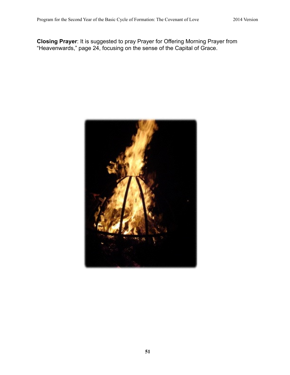**Closing Prayer**: It is suggested to pray Prayer for Offering Morning Prayer from "Heavenwards," page 24, focusing on the sense of the Capital of Grace.

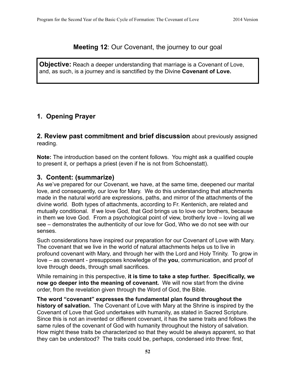# **Meeting 12**: Our Covenant, the journey to our goal

**Objective:** Reach a deeper understanding that marriage is a Covenant of Love, and, as such, is a journey and is sanctified by the Divine **Covenant of Love.**

# **1. Opening Prayer**

**2. Review past commitment and brief discussion** about previously assigned reading.

**Note:** The introduction based on the content follows. You might ask a qualified couple to present it, or perhaps a priest (even if he is not from Schoenstatt).

## **3. Content: (summarize)**

As we've prepared for our Covenant, we have, at the same time, deepened our marital love, and consequently, our love for Mary. We do this understanding that attachments made in the natural world are expressions, paths, and mirror of the attachments of the divine world. Both types of attachments, according to Fr. Kentenich, are related and mutually conditional. If we love God, that God brings us to love our brothers, because in them we love God. From a psychological point of view, brotherly love – loving all we see – demonstrates the authenticity of our love for God, Who we do not see with our senses.

Such considerations have inspired our preparation for our Covenant of Love with Mary. The covenant that we live in the world of natural attachments helps us to live in profound covenant with Mary, and through her with the Lord and Holy Trinity. To grow in love – as covenant - presupposes knowledge of the **you**, communication, and proof of love through deeds, through small sacrifices.

While remaining in this perspective, **it is time to take a step further. Specifically, we now go deeper into the meaning of covenant.** We will now start from the divine order, from the revelation given through the Word of God, the Bible.

**The word "covenant" expresses the fundamental plan found throughout the history of salvation.** The Covenant of Love with Mary at the Shrine is inspired by the Covenant of Love that God undertakes with humanity, as stated in Sacred Scripture. Since this is not an invented or different covenant, it has the same traits and follows the same rules of the covenant of God with humanity throughout the history of salvation. How might these traits be characterized so that they would be always apparent, so that they can be understood? The traits could be, perhaps, condensed into three: first,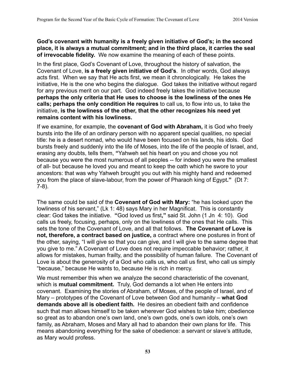**God's covenant with humanity is a freely given initiative of God's; in the second place, it is always a mutual commitment; and in the third place, it carries the seal of irrevocable fidelity.** We now examine the meaning of each of these points.

In the first place, God's Covenant of Love, throughout the history of salvation, the Covenant of Love, **is a freely given initiative of God's**. In other words, God always acts first. When we say that He acts first, we mean it chronologically. He takes the initiative, He is the one who begins the dialogue. God takes the initiative without regard for any previous merit on our part. God indeed freely takes the initiative because **perhaps the only criteria that He uses to choose is the lowliness of the ones He calls; perhaps the only condition He requires** to call us, to flow into us, to take the initiative, **is the lowliness of the other, that the other recognizes his need yet remains content with his lowliness.** 

If we examine, for example, the **covenant of God with Abraham,** it is God who freely bursts into the life of an ordinary person with no apparent special qualities, no special title: he is a desert nomad, who would have been focused on his lands, his idols. God bursts freely and suddenly into the life of Moses, into the life of the people of Israel, and, erasing any doubts, tells them, **"**Yahweh set his heart on you and chose you not because you were the most numerous of all peoples -- for indeed you were the smallest of all- but because he loved you and meant to keep the oath which he swore to your ancestors: that was why Yahweh brought you out with his mighty hand and redeemed you from the place of slave-labour, from the power of Pharaoh king of Egypt**."** (Dt 7: 7-8).

The same could be said of the **Covenant of God with Mary:** "he has looked upon the lowliness of his servant," (Lk 1: 48) says Mary in her Magnificat. This is constantly clear: God takes the initiative. **"**God loved us first**,"** said St. John (1 Jn 4: 10). God calls us freely, focusing, perhaps, only on the lowliness of the ones that He calls. This sets the tone of the Covenant of Love, and all that follows. **The Covenant of Love is not, therefore, a contract based on justice,** a contract where one postures in front of the other, saying, "I will give so that you can give, and I will give to the same degree that you give to me." A Covenant of Love does not require impeccable behavior; rather, it allows for mistakes, human frailty, and the possibility of human failure. The Covenant of Love is about the generosity of a God who calls us, who call us first, who call us simply "because," because He wants to, because He is rich in mercy.

We must remember this when we analyze the second characteristic of the covenant, which is **mutual commitment.** Truly, God demands a lot when He enters into covenant. Examining the stories of Abraham, of Moses, of the people of Israel, and of Mary – prototypes of the Covenant of Love between God and humanity – **what God demands above all is obedient faith.** He desires an obedient faith and confidence such that man allows himself to be taken wherever God wishes to take him; obedience so great as to abandon one's own land, one's own gods, one's own idols, one's own family, as Abraham, Moses and Mary all had to abandon their own plans for life. This means abandoning everything for the sake of obedience: a servant or slave's attitude, as Mary would profess.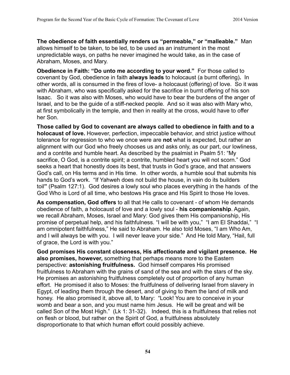**The obedience of faith essentially renders us "permeable," or "malleable."** Man allows himself to be taken, to be led, to be used as an instrument in the most unpredictable ways, on paths he never imagined he would take, as in the case of Abraham, Moses, and Mary.

**Obedience in Faith: "Do unto me according to your word."** For those called to covenant by God, obedience in faith **always leads** to holocaust (a burnt offering)**.** In other words, all is consumed in the fires of love- a holocaust (offering) of love. So it was with Abraham, who was specifically asked for the sacrifice in burnt offering of his son Isaac. So it was also with Moses, who would have to bear the burdens of the anger of Israel, and to be the guide of a stiff-necked people. And so it was also with Mary who, at first symbolically in the temple, and then in reality at the cross, would have to offer her Son.

**Those called by God to covenant are always called to obedience in faith and to a holocaust of love.** However, perfection, impeccable behavior, and strict justice without tolerance for regression to who we once were are **not** what is expected, but rather an alignment with our God who freely chooses us and asks only, as our part, our lowliness, and a contrite and humble heart. As described by the psalmist in Psalm 51: "My sacrifice, O God, is a contrite spirit; a contrite, humbled heart you will not scorn." God seeks a heart that honestly does its best, that trusts in God's grace, and that answers God's call, on His terms and in His time. In other words, a humble soul that submits his hands to God's work. "If Yahweh does not build the house, in vain do its builders toil**"** (Psalm 127:1). God desires a lowly soul who places everything in the hands of the God Who is Lord of all time, who bestows His grace and His Spirit to those He loves.

**As compensation, God offers** to all that He calls to covenant - of whom He demands obedience of faith, a holocaust of love and a lowly soul - **his companionship**. Again, we recall Abraham, Moses, Israel and Mary: God gives them His companionship, His promise of perpetual help, and his faithfulness. "I will be with you," "I am El Shaddai," "I am omnipotent faithfulness," He said to Abraham. He also told Moses, "I am Who Am, and I will always be with you. I will never leave your side." And He told Mary, "Hail, full of grace, the Lord is with you."

**God promises His constant closeness, His affectionate and vigilant presence. He also promises, however,** something that perhaps means more to the Eastern perspective: **astonishing fruitfulness.** God himself compares His promised fruitfulness to Abraham with the grains of sand of the sea and with the stars of the sky. He promises an astonishing fruitfulness completely out of proportion of any human effort. He promised it also to Moses: the fruitfulness of delivering Israel from slavery in Egypt, of leading them through the desert, and of giving to them the land of milk and honey. He also promised it, above all, to Mary: "Look! You are to conceive in your womb and bear a son, and you must name him Jesus. He will be great and will be called Son of the Most High." (Lk 1: 31-32). Indeed, this is a fruitfulness that relies not on flesh or blood, but rather on the Spirit of God, a fruitfulness absolutely disproportionate to that which human effort could possibly achieve.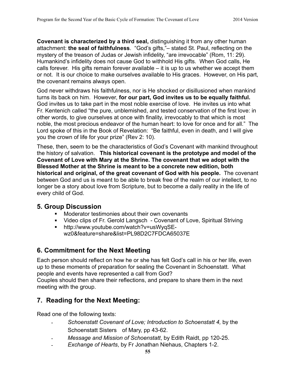**Covenant is characterized by a third seal,** distinguishing it from any other human attachment: **the seal of faithfulness**. "God's gifts,"– stated St. Paul, reflecting on the mystery of the treason of Judas or Jewish infidelity, "are irrevocable" (Rom, 11: 29). Humankind's infidelity does not cause God to withhold His gifts. When God calls, He calls forever. His gifts remain forever available – it is up to us whether we accept them or not. It is our choice to make ourselves available to His graces. However, on His part, the covenant remains always open.

God never withdraws his faithfulness, nor is He shocked or disillusioned when mankind turns its back on him. However, **for our part, God invites us to be equally faithful.**  God invites us to take part in the most noble exercise of love. He invites us into what Fr. Kentenich called "the pure, unblemished, and tested conservation of the first love: in other words, to give ourselves at once with finality, irrevocably to that which is most noble, the most precious endeavor of the human heart: to love for once and for all." The Lord spoke of this in the Book of Revelation: "Be faithful, even in death, and I will give you the crown of life for your prize" (Rev 2: 10).

These, then, seem to be the characteristics of God's Covenant with mankind throughout the history of salvation. **This historical covenant is the prototype and model of the Covenant of Love with Mary at the Shrine. The covenant that we adopt with the Blessed Mother at the Shrine is meant to be a concrete new edition, both historical and original, of the great covenant of God with his people.** The covenant between God and us is meant to be able to break free of the realm of our intellect, to no longer be a story about love from Scripture, but to become a daily reality in the life of every child of God.

# **5. Group Discussion**

- ! Moderator testimonies about their own covenants
- ! Video clips of Fr. Gerold Langsch Covenant of Love, Spiritual Striving
- ! http://www.youtube.com/watch?v=usWyqSEwz0&feature=share&list=PL98D2C7FDCA65037E

# **6. Commitment for the Next Meeting**

Each person should reflect on how he or she has felt God's call in his or her life, even up to these moments of preparation for sealing the Covenant in Schoenstatt. What people and events have represented a call from God?

Couples should then share their reflections, and prepare to share them in the next meeting with the group.

# **7. Reading for the Next Meeting:**

Read one of the following texts:

- *Schoenstatt Covenant of Love; Introduction to Schoenstatt 4,* by the Schoenstatt Sisters of Mary, pp 43-62.
- *Message and Mission of Schoenstatt*, by Edith Raidt, pp 120-25.
- *Exchange of Hearts*, by Fr Jonathan Niehaus, Chapters 1-2.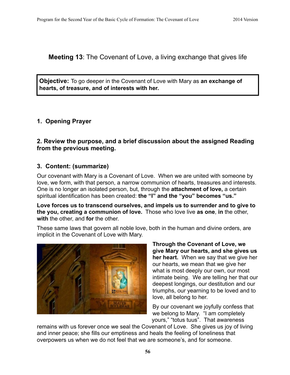**Meeting 13**: The Covenant of Love, a living exchange that gives life

**Objective:** To go deeper in the Covenant of Love with Mary as **an exchange of hearts, of treasure, and of interests with her.**

## **1. Opening Prayer**

**2. Review the purpose, and a brief discussion about the assigned Reading from the previous meeting.**

#### **3. Content: (summarize)**

Our covenant with Mary is a Covenant of Love. When we are united with someone by love, we form, with that person, a narrow communion of hearts, treasures and interests. One is no longer an isolated person, but, through the **attachment of love,** a certain spiritual identification has been created: **the "I" and the "you" becomes "us."** 

**Love forces us to transcend ourselves, and impels us to surrender and to give to the you, creating a communion of love.** Those who love live **as one**, **in** the other, **with** the other, and **for** the other.

These same laws that govern all noble love, both in the human and divine orders, are implicit in the Covenant of Love with Mary.



**Through the Covenant of Love, we give Mary our hearts, and she gives us her heart.** When we say that we give her our hearts, we mean that we give her what is most deeply our own, our most intimate being. We are telling her that our deepest longings, our destitution and our triumphs, our yearning to be loved and to love, all belong to her.

By our covenant we joyfully confess that we belong to Mary. "I am completely yours," "totus tuus". That awareness

remains with us forever once we seal the Covenant of Love. She gives us joy of living and inner peace; she fills our emptiness and heals the feeling of loneliness that overpowers us when we do not feel that we are someone's, and for someone.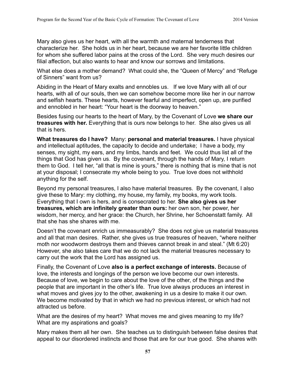Mary also gives us her heart, with all the warmth and maternal tenderness that characterize her. She holds us in her heart, because we are her favorite little children for whom she suffered labor pains at the cross of the Lord. She very much desires our filial affection, but also wants to hear and know our sorrows and limitations.

What else does a mother demand? What could she, the "Queen of Mercy" and "Refuge of Sinners" want from us?

Abiding in the Heart of Mary exalts and ennobles us. If we love Mary with all of our hearts, with all of our souls, then we can somehow become more like her in our narrow and selfish hearts. These hearts, however fearful and imperfect, open up, are purified and ennobled in her heart: "Your heart is the doorway to heaven."

Besides fusing our hearts to the heart of Mary, by the Covenant of Love **we share our treasures with her.** Everything that is ours now belongs to her. She also gives us all that is hers.

**What treasures do I have?** Many: **personal and material treasures.** I have physical and intellectual aptitudes, the capacity to decide and undertake; I have a body, my senses, my sight, my ears, and my limbs, hands and feet. We could thus list all of the things that God has given us. By the covenant, through the hands of Mary, I return them to God. I tell her, "all that is mine is yours," there is nothing that is mine that is not at your disposal; I consecrate my whole being to you. True love does not withhold anything for the self.

Beyond my personal treasures, I also have material treasures. By the covenant, I also give these to Mary: my clothing, my house, my family, my books, my work tools. Everything that I own is hers, and is consecrated to her. **She also gives us her treasures, which are infinitely greater than ours:** her own son, her power, her wisdom, her mercy, and her grace: the Church, her Shrine, her Schoenstatt family. All that she has she shares with me.

Doesn't the covenant enrich us immeasurably? She does not give us material treasures and all that man desires. Rather, she gives us true treasures of heaven, "where neither moth nor woodworm destroys them and thieves cannot break in and steal." (Mt 6:20) However, she also takes care that we do not lack the material treasures necessary to carry out the work that the Lord has assigned us.

Finally, the Covenant of Love **also is a perfect exchange of interests.** Because of love, the interests and longings of the person we love become our own interests. Because of love, we begin to care about the love of the other, of the things and the people that are important in the other's life. True love always produces an interest in what moves and gives joy to the other, awakening in us a desire to make it our own. We become motivated by that in which we had no previous interest, or which had not attracted us before.

What are the desires of my heart? What moves me and gives meaning to my life? What are my aspirations and goals?

Mary makes them all her own. She teaches us to distinguish between false desires that appeal to our disordered instincts and those that are for our true good. She shares with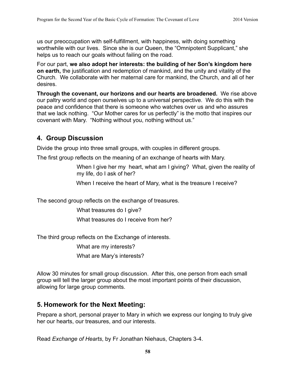us our preoccupation with self-fulfillment, with happiness, with doing something worthwhile with our lives. Since she is our Queen, the "Omnipotent Supplicant," she helps us to reach our goals without failing on the road.

For our part, **we also adopt her interests: the building of her Son's kingdom here on earth,** the justification and redemption of mankind, and the unity and vitality of the Church. We collaborate with her maternal care for mankind, the Church, and all of her desires.

**Through the covenant, our horizons and our hearts are broadened.** We rise above our paltry world and open ourselves up to a universal perspective. We do this with the peace and confidence that there is someone who watches over us and who assures that we lack nothing. "Our Mother cares for us perfectly" is the motto that inspires our covenant with Mary. "Nothing without you, nothing without us."

# **4. Group Discussion**

Divide the group into three small groups, with couples in different groups.

The first group reflects on the meaning of an exchange of hearts with Mary.

When I give her my heart, what am I giving? What, given the reality of my life, do I ask of her?

When I receive the heart of Mary, what is the treasure I receive?

The second group reflects on the exchange of treasures.

What treasures do I give?

What treasures do I receive from her?

The third group reflects on the Exchange of interests.

What are my interests?

What are Mary's interests?

Allow 30 minutes for small group discussion. After this, one person from each small group will tell the larger group about the most important points of their discussion, allowing for large group comments.

# **5. Homework for the Next Meeting:**

Prepare a short, personal prayer to Mary in which we express our longing to truly give her our hearts, our treasures, and our interests.

Read *Exchange of Hearts*, by Fr Jonathan Niehaus, Chapters 3-4.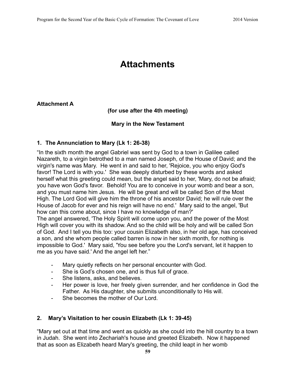# **Attachments**

#### **Attachment A**

## **(for use after the 4th meeting)**

#### **Mary in the New Testament**

#### **1. The Annunciation to Mary (Lk 1: 26-38)**

"In the sixth month the angel Gabriel was sent by God to a town in Galilee called Nazareth, to a virgin betrothed to a man named Joseph, of the House of David; and the virgin's name was Mary. He went in and said to her, 'Rejoice, you who enjoy God's favor! The Lord is with you.' She was deeply disturbed by these words and asked herself what this greeting could mean, but the angel said to her, 'Mary, do not be afraid; you have won God's favor. Behold! You are to conceive in your womb and bear a son, and you must name him Jesus. He will be great and will be called Son of the Most High. The Lord God will give him the throne of his ancestor David; he will rule over the House of Jacob for ever and his reign will have no end.' Mary said to the angel, 'But how can this come about, since I have no knowledge of man?' The angel answered, 'The Holy Spirit will come upon you, and the power of the Most High will cover you with its shadow. And so the child will be holy and will be called Son

of God. And I tell you this too: your cousin Elizabeth also, in her old age, has conceived a son, and she whom people called barren is now in her sixth month, for nothing is impossible to God.' Mary said, 'You see before you the Lord's servant, let it happen to me as you have said.' And the angel left her."

- Mary quietly reflects on her personal encounter with God.
- She is God's chosen one, and is thus full of grace.
- She listens, asks, and believes.
- Her power is love, her freely given surrender, and her confidence in God the Father. As His daughter, she submits unconditionally to His will.
- She becomes the mother of Our Lord.

#### **2. Mary's Visitation to her cousin Elizabeth (Lk 1: 39-45)**

"Mary set out at that time and went as quickly as she could into the hill country to a town in Judah. She went into Zechariah's house and greeted Elizabeth. Now it happened that as soon as Elizabeth heard Mary's greeting, the child leapt in her womb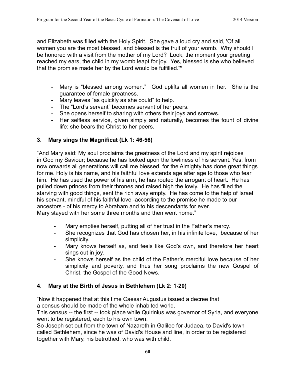and Elizabeth was filled with the Holy Spirit. She gave a loud cry and said, 'Of all women you are the most blessed, and blessed is the fruit of your womb. Why should I be honored with a visit from the mother of my Lord? Look, the moment your greeting reached my ears, the child in my womb leapt for joy. Yes, blessed is she who believed that the promise made her by the Lord would be fulfilled.**'"** 

- Mary is "blessed among women." God uplifts all women in her. She is the guarantee of female greatness.
- Mary leaves "as quickly as she could" to help.
- The "Lord's servant" becomes servant of her peers.
- She opens herself to sharing with others their joys and sorrows.
- Her selfless service, given simply and naturally, becomes the fount of divine life: she bears the Christ to her peers.

#### **3. Mary sings the Magnificat (Lk 1: 46-56)**

"And Mary said: My soul proclaims the greatness of the Lord and my spirit rejoices in God my Saviour; because he has looked upon the lowliness of his servant. Yes, from now onwards all generations will call me blessed, for the Almighty has done great things for me. Holy is his name, and his faithful love extends age after age to those who fear him. He has used the power of his arm, he has routed the arrogant of heart. He has pulled down princes from their thrones and raised high the lowly. He has filled the starving with good things, sent the rich away empty. He has come to the help of Israel his servant, mindful of his faithful love -according to the promise he made to our ancestors - of his mercy to Abraham and to his descendants for ever. Mary stayed with her some three months and then went home."

- Mary empties herself, putting all of her trust in the Father's mercy.
- She recognizes that God has chosen her, in his infinite love, because of her simplicity.
- Mary knows herself as, and feels like God's own, and therefore her heart sings out in joy.
- She knows herself as the child of the Father's merciful love because of her simplicity and poverty, and thus her song proclaims the new Gospel of Christ, the Gospel of the Good News.

#### **4. Mary at the Birth of Jesus in Bethlehem (Lk 2: 1-20)**

"Now it happened that at this time Caesar Augustus issued a decree that a census should be made of the whole inhabited world.

This census -- the first -- took place while Quirinius was governor of Syria, and everyone went to be registered, each to his own town.

So Joseph set out from the town of Nazareth in Galilee for Judaea, to David's town called Bethlehem, since he was of David's House and line, in order to be registered together with Mary, his betrothed, who was with child.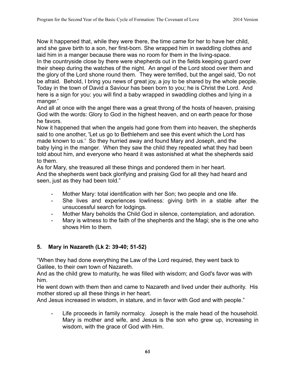Now it happened that, while they were there, the time came for her to have her child, and she gave birth to a son, her first-born. She wrapped him in swaddling clothes and laid him in a manger because there was no room for them in the living-space.

In the countryside close by there were shepherds out in the fields keeping guard over their sheep during the watches of the night. An angel of the Lord stood over them and the glory of the Lord shone round them. They were terrified, but the angel said, 'Do not be afraid. Behold, I bring you news of great joy, a joy to be shared by the whole people. Today in the town of David a Saviour has been born to you; he is Christ the Lord. And here is a sign for you: you will find a baby wrapped in swaddling clothes and lying in a manger.'

And all at once with the angel there was a great throng of the hosts of heaven, praising God with the words: Glory to God in the highest heaven, and on earth peace for those he favors.

Now it happened that when the angels had gone from them into heaven, the shepherds said to one another, 'Let us go to Bethlehem and see this event which the Lord has made known to us.' So they hurried away and found Mary and Joseph, and the baby lying in the manger. When they saw the child they repeated what they had been told about him, and everyone who heard it was astonished at what the shepherds said to them.

As for Mary, she treasured all these things and pondered them in her heart. And the shepherds went back glorifying and praising God for all they had heard and seen, just as they had been told."

- Mother Mary: total identification with her Son; two people and one life.
- She lives and experiences lowliness: giving birth in a stable after the unsuccessful search for lodgings.
- Mother Mary beholds the Child God in silence, contemplation, and adoration.
- Mary is witness to the faith of the shepherds and the Magi; she is the one who shows Him to them.

#### **5. Mary in Nazareth (Lk 2: 39-40; 51-52)**

"When they had done everything the Law of the Lord required, they went back to Galilee, to their own town of Nazareth.

And as the child grew to maturity, he was filled with wisdom; and God's favor was with him.

He went down with them then and came to Nazareth and lived under their authority. His mother stored up all these things in her heart.

And Jesus increased in wisdom, in stature, and in favor with God and with people."

- Life proceeds in family normalcy. Joseph is the male head of the household. Mary is mother and wife, and Jesus is the son who grew up, increasing in wisdom, with the grace of God with Him.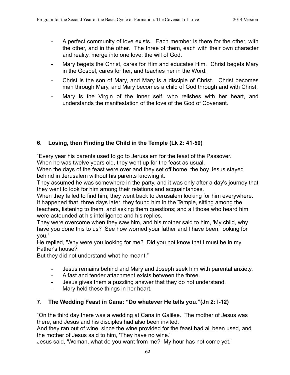- A perfect community of love exists. Each member is there for the other, with the other, and in the other. The three of them, each with their own character and reality, merge into one love: the will of God.
- Mary begets the Christ, cares for Him and educates Him. Christ begets Mary in the Gospel, cares for her, and teaches her in the Word.
- Christ is the son of Mary, and Mary is a disciple of Christ. Christ becomes man through Mary, and Mary becomes a child of God through and with Christ.
- Mary is the Virgin of the inner self, who relishes with her heart, and understands the manifestation of the love of the God of Covenant.

# **6. Losing, then Finding the Child in the Temple (Lk 2: 41-50)**

"Every year his parents used to go to Jerusalem for the feast of the Passover. When he was twelve years old, they went up for the feast as usual.

When the days of the feast were over and they set off home, the boy Jesus stayed behind in Jerusalem without his parents knowing it.

They assumed he was somewhere in the party, and it was only after a day's journey that they went to look for him among their relations and acquaintances.

When they failed to find him, they went back to Jerusalem looking for him everywhere. It happened that, three days later, they found him in the Temple, sitting among the teachers, listening to them, and asking them questions; and all those who heard him were astounded at his intelligence and his replies.

They were overcome when they saw him, and his mother said to him, 'My child, why have you done this to us? See how worried your father and I have been, looking for you.'

He replied, 'Why were you looking for me? Did you not know that I must be in my Father's house?'

But they did not understand what he meant."

- Jesus remains behind and Mary and Joseph seek him with parental anxiety.
- A fast and tender attachment exists between the three.
- Jesus gives them a puzzling answer that they do not understand.
- Mary held these things in her heart.

# **7. The Wedding Feast in Cana: "Do whatever He tells you."(Jn 2: l-12)**

"On the third day there was a wedding at Cana in Galilee. The mother of Jesus was there, and Jesus and his disciples had also been invited.

And they ran out of wine, since the wine provided for the feast had all been used, and the mother of Jesus said to him, 'They have no wine.'

Jesus said, 'Woman, what do you want from me? My hour has not come yet.'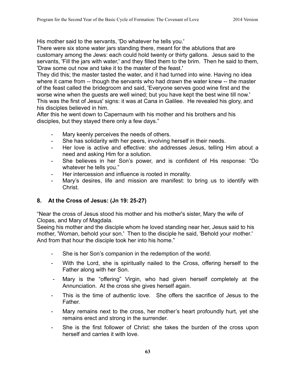His mother said to the servants, 'Do whatever he tells you.'

There were six stone water jars standing there, meant for the ablutions that are customary among the Jews: each could hold twenty or thirty gallons. Jesus said to the servants, 'Fill the jars with water,' and they filled them to the brim. Then he said to them, 'Draw some out now and take it to the master of the feast.'

They did this; the master tasted the water, and it had turned into wine. Having no idea where it came from -- though the servants who had drawn the water knew -- the master of the feast called the bridegroom and said, 'Everyone serves good wine first and the worse wine when the guests are well wined; but you have kept the best wine till now.' This was the first of Jesus' signs: it was at Cana in Galilee. He revealed his glory, and his disciples believed in him.

After this he went down to Capernaum with his mother and his brothers and his disciples, but they stayed there only a few days."

- Mary keenly perceives the needs of others.
- She has solidarity with her peers, involving herself in their needs.
- Her love is active and effective: she addresses Jesus, telling Him about a need and asking Him for a solution.
- She believes in her Son's power, and is confident of His response: "Do whatever he tells you."
- Her intercession and influence is rooted in morality.
- Mary's desires, life and mission are manifest: to bring us to identify with Christ.

#### **8. At the Cross of Jesus: (Jn 19: 25-27)**

"Near the cross of Jesus stood his mother and his mother's sister, Mary the wife of Clopas, and Mary of Magdala.

Seeing his mother and the disciple whom he loved standing near her, Jesus said to his mother, 'Woman, behold your son.' Then to the disciple he said, 'Behold your mother.' And from that hour the disciple took her into his home."

- She is her Son's companion in the redemption of the world.
- With the Lord, she is spiritually nailed to the Cross, offering herself to the Father along with her Son.
- Mary is the "offering" Virgin, who had given herself completely at the Annunciation. At the cross she gives herself again.
- This is the time of authentic love. She offers the sacrifice of Jesus to the Father.
- Mary remains next to the cross, her mother's heart profoundly hurt, yet she remains erect and strong in the surrender.
- She is the first follower of Christ: she takes the burden of the cross upon herself and carries it with love.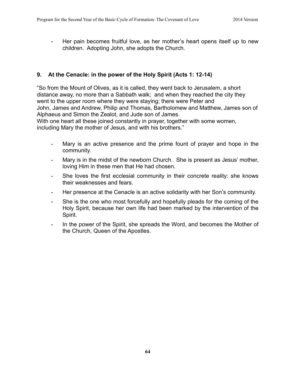Her pain becomes fruitful love, as her mother's heart opens itself up to new children. Adopting John, she adopts the Church.

## **9. At the Cenacle: in the power of the Holy Spirit (Acts 1: 12-14)**

"So from the Mount of Olives, as it is called, they went back to Jerusalem, a short distance away, no more than a Sabbath walk; and when they reached the city they went to the upper room where they were staying; there were Peter and John, James and Andrew, Philip and Thomas, Bartholomew and Matthew, James son of Alphaeus and Simon the Zealot, and Jude son of James.

With one heart all these joined constantly in prayer, together with some women, including Mary the mother of Jesus, and with his brothers."

- Mary is an active presence and the prime fount of prayer and hope in the community.
- Mary is in the midst of the newborn Church. She is present as Jesus' mother, loving Him in these men that He had chosen.
- She loves the first ecclesial community in their concrete reality: she knows their weaknesses and fears.
- Her presence at the Cenacle is an active solidarity with her Son's community.
- She is the one who most forcefully and hopefully pleads for the coming of the Holy Spirit, because her own life had been marked by the intervention of the Spirit.
- In the power of the Spirit, she spreads the Word, and becomes the Mother of the Church, Queen of the Apostles.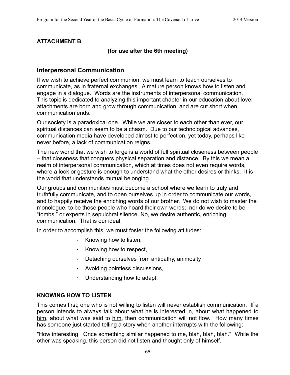## **ATTACHMENT B**

#### **(for use after the 6th meeting)**

#### **Interpersonal Communication**

If we wish to achieve perfect communion, we must learn to teach ourselves to communicate, as in fraternal exchanges. A mature person knows how to listen and engage in a dialogue. Words are the instruments of interpersonal communication. This topic is dedicated to analyzing this important chapter in our education about love: attachments are born and grow through communication, and are cut short when communication ends.

Our society is a paradoxical one. While we are closer to each other than ever, our spiritual distances can seem to be a chasm. Due to our technological advances, communication media have developed almost to perfection, yet today, perhaps like never before, a lack of communication reigns.

The new world that we wish to forge is a world of full spiritual closeness between people – that closeness that conquers physical separation and distance. By this we mean a realm of interpersonal communication, which at times does not even require words, where a look or gesture is enough to understand what the other desires or thinks. It is the world that understands mutual belonging.

Our groups and communities must become a school where we learn to truly and truthfully communicate, and to open ourselves up in order to communicate our words, and to happily receive the enriching words of our brother. We do not wish to master the monologue, to be those people who hoard their own words; nor do we desire to be "tombs," or experts in sepulchral silence. No, we desire authentic, enriching communication. That is our ideal.

In order to accomplish this, we must foster the following attitudes:

- $\cdot$  Knowing how to listen,
- Knowing how to respect,
- Detaching ourselves from antipathy, animosity
- Avoiding pointless discussions,
- · Understanding how to adapt.

#### **KNOWING HOW TO LISTEN**

This comes first; one who is not willing to listen will never establish communication. If a person intends to always talk about what he is interested in, about what happened to him, about what was said to him, then communication will not flow. How many times has someone just started telling a story when another interrupts with the following:

"How interesting. Once something similar happened to me, blah, blah, blah." While the other was speaking, this person did not listen and thought only of himself.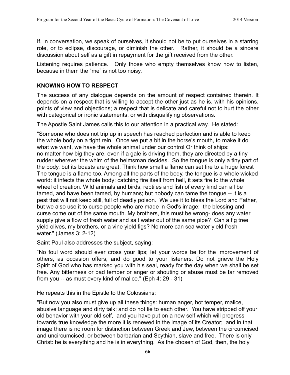If, in conversation, we speak of ourselves, it should not be to put ourselves in a starring role, or to eclipse, discourage, or diminish the other. Rather, it should be a sincere discussion about self as a gift in repayment for the gift received from the other.

Listening requires patience. Only those who empty themselves know how to listen, because in them the "me" is not too noisy.

#### **KNOWING HOW TO RESPECT**

The success of any dialogue depends on the amount of respect contained therein. It depends on a respect that is willing to accept the other just as he is, with his opinions, points of view and objections; a respect that is delicate and careful not to hurt the other with categorical or ironic statements, or with disqualifying observations.

The Apostle Saint James calls this to our attention in a practical way. He stated:

"Someone who does not trip up in speech has reached perfection and is able to keep the whole body on a tight rein. Once we put a bit in the horse's mouth, to make it do what we want, we have the whole animal under our control Or think of ships: no matter how big they are, even if a gale is driving them, they are directed by a tiny rudder wherever the whim of the helmsman decides. So the tongue is only a tiny part of the body, but its boasts are great. Think how small a flame can set fire to a huge forest The tongue is a flame too. Among all the parts of the body, the tongue is a whole wicked world: it infects the whole body; catching fire itself from hell, it sets fire to the whole wheel of creation. Wild animals and birds, reptiles and fish of every kind can all be tamed, and have been tamed, by humans; but nobody can tame the tongue -- it is a pest that will not keep still, full of deadly poison. We use it to bless the Lord and Father, but we also use it to curse people who are made in God's image: the blessing and curse come out of the same mouth. My brothers, this must be wrong- does any water supply give a flow of fresh water and salt water out of the same pipe? Can a fig tree yield olives, my brothers, or a vine yield figs? No more can sea water yield fresh water." (James 3: 2-12)

Saint Paul also addresses the subject, saying:

"No foul word should ever cross your lips; let your words be for the improvement of others, as occasion offers, and do good to your listeners. Do not grieve the Holy Spirit of God who has marked you with his seal, ready for the day when we shall be set free. Any bitterness or bad temper or anger or shouting or abuse must be far removed from you -- as must every kind of malice." (Eph 4: 29 - 31)

He repeats this in the Epistle to the Colossians:

"But now you also must give up all these things: human anger, hot temper, malice, abusive language and dirty talk; and do not lie to each other. You have stripped off your old behavior with your old self, and you have put on a new self which will progress towards true knowledge the more it is renewed in the image of its Creator; and in that image there is no room for distinction between Greek and Jew, between the circumcised and uncircumcised, or between barbarian and Scythian, slave and free. There is only Christ: he is everything and he is in everything. As the chosen of God, then, the holy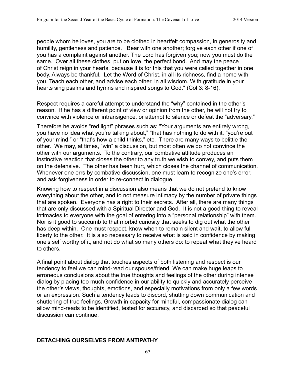people whom he loves, you are to be clothed in heartfelt compassion, in generosity and humility, gentleness and patience. Bear with one another; forgive each other if one of you has a complaint against another. The Lord has forgiven you; now you must do the same. Over all these clothes, put on love, the perfect bond. And may the peace of Christ reign in your hearts, because it is for this that you were called together in one body. Always be thankful. Let the Word of Christ, in all its richness, find a home with you. Teach each other, and advise each other, in all wisdom. With gratitude in your hearts sing psalms and hymns and inspired songs to God." (Col 3: 8-16).

Respect requires a careful attempt to understand the "why" contained in the other's reason. If he has a different point of view or opinion from the other, he will not try to convince with violence or intransigence, or attempt to silence or defeat the "adversary."

Therefore he avoids "red light" phrases such as: "Your arguments are entirely wrong, you have no idea what you're talking about," "that has nothing to do with it, "you're out of your mind," or "that's how a child thinks," etc. There are many ways to belittle the other. We may, at times, "win" a discussion, but most often we do not convince the other with our arguments. To the contrary, our combative attitude produces an instinctive reaction that closes the other to any truth we wish to convey, and puts them on the defensive. The other has been hurt, which closes the channel of communication. Whenever one errs by combative discussion, one must learn to recognize one's error, and ask forgiveness in order to re-connect in dialogue.

Knowing how to respect in a discussion also means that we do not pretend to know everything about the other, and to not measure intimacy by the number of private things that are spoken. Everyone has a right to their secrets. After all, there are many things that are only discussed with a Spiritual Director and God. It is not a good thing to reveal intimacies to everyone with the goal of entering into a "personal relationship" with them. Nor is it good to succumb to that morbid curiosity that seeks to dig out what the other has deep within. One must respect, know when to remain silent and wait, to allow full liberty to the other. It is also necessary to receive what is said in confidence by making one's self worthy of it, and not do what so many others do: to repeat what they've heard to others.

A final point about dialog that touches aspects of both listening and respect is our tendency to feel we can mind-read our spouse/friend. We can make huge leaps to erroneous conclusions about the true thoughts and feelings of the other during intense dialog by placing too much confidence in our ability to quickly and accurately perceive the other's views, thoughts, emotions, and especially motivations from only a few words or an expression. Such a tendency leads to discord, shutting down communication and shuttering of true feelings. Growth in capacity for mindful, compassionate dialog can allow mind-reads to be identified, tested for accuracy, and discarded so that peaceful discussion can continue.

#### **DETACHING OURSELVES FROM ANTIPATHY**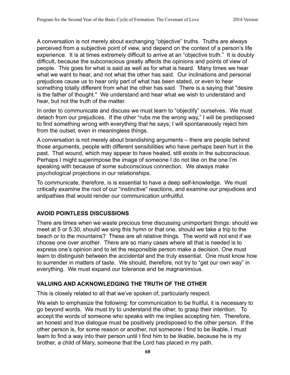A conversation is not merely about exchanging "objective" truths. Truths are always perceived from a subjective point of view, and depend on the context of a person's life experience. It is at times extremely difficult to arrive at an "objective truth." It is doubly difficult, because the subconscious greatly affects the opinions and points of view of people. This goes for what is said as well as for what is heard. Many times we hear what we want to hear, and not what the other has said. Our inclinations and personal prejudices cause us to hear only part of what has been stated, or even to hear something totally different from what the other has said. There is a saying that "desire is the father of thought." We understand and hear what we wish to understand and hear, but not the truth of the matter.

In order to communicate and discuss we must learn to "objectify" ourselves. We must detach from our prejudices. If the other "rubs me the wrong way," I will be predisposed to find something wrong with everything that he says; I will spontaneously reject him from the outset, even in meaningless things.

A conversation is not merely about brandishing arguments – there are people behind those arguments, people with different sensibilities who have perhaps been hurt in the past. That wound, which may appear to have healed, still exists in the subconscious. Perhaps I might superimpose the image of someone I do not like on the one I'm speaking with because of some subconscious connection. We always make psychological projections in our relationships.

To communicate, therefore, is is essential to have a deep self-knowledge. We must critically examine the root of our "instinctive" reactions, and examine our prejudices and antipathies that would render our communication unfruitful.

#### **AVOID POINTLESS DISCUSSIONS**

There are times when we waste precious time discussing unimportant things: should we meet at 5 or 5:30, should we sing this hymn or that one, should we take a trip to the beach or to the mountains? These are all relative things. The world will not end if we choose one over another. There are so many cases where all that is needed is to express one's opinion and to let the responsible person make a decision. One must learn to distinguish between the accidental and the truly essential. One must know how to surrender in matters of taste. We should, therefore, not try to "get our own way" in everything. We must expand our tolerance and be magnanimous.

#### **VALUING AND ACKNOWLEDGING THE TRUTH OF THE OTHER**

This is closely related to all that we've spoken of, particularly respect.

We wish to emphasize the following: for communication to be fruitful, it is necessary to go beyond words. We must try to understand the other, to grasp their intention. To accept the words of someone who speaks with me implies accepting him. Therefore, an honest and true dialogue must be positively predisposed to the other person. If the other person is, for some reason or another, not someone I find to be likable, I must learn to find a way into their person until I find him to be likable, because he is my brother, a child of Mary, someone that the Lord has placed in my path.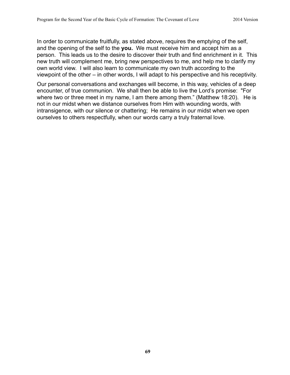In order to communicate fruitfully, as stated above, requires the emptying of the self, and the opening of the self to the **you.** We must receive him and accept him as a person. This leads us to the desire to discover their truth and find enrichment in it. This new truth will complement me, bring new perspectives to me, and help me to clarify my own world view. I will also learn to communicate my own truth according to the viewpoint of the other – in other words, I will adapt to his perspective and his receptivity.

Our personal conversations and exchanges will become, in this way, vehicles of a deep encounter, of true communion. We shall then be able to live the Lord's promise: "For where two or three meet in my name, I am there among them." (Matthew 18:20). He is not in our midst when we distance ourselves from Him with wounding words, with intransigence, with our silence or chattering; He remains in our midst when we open ourselves to others respectfully, when our words carry a truly fraternal love.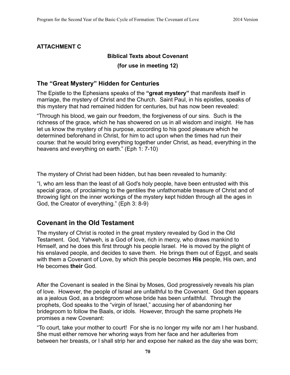# **ATTACHMENT C**

#### **Biblical Texts about Covenant**

#### **(for use in meeting 12)**

## **The "Great Mystery" Hidden for Centuries**

The Epistle to the Ephesians speaks of the **"great mystery"** that manifests itself in marriage, the mystery of Christ and the Church. Saint Paul, in his epistles, speaks of this mystery that had remained hidden for centuries, but has now been revealed:

"Through his blood, we gain our freedom, the forgiveness of our sins. Such is the richness of the grace, which he has showered on us in all wisdom and insight. He has let us know the mystery of his purpose, according to his good pleasure which he determined beforehand in Christ, for him to act upon when the times had run their course: that he would bring everything together under Christ, as head, everything in the heavens and everything on earth." (Eph 1: 7-10)

The mystery of Christ had been hidden, but has been revealed to humanity:

"I, who am less than the least of all God's holy people, have been entrusted with this special grace, of proclaiming to the gentiles the unfathomable treasure of Christ and of throwing light on the inner workings of the mystery kept hidden through all the ages in God, the Creator of everything." (Eph 3: 8-9)

# **Covenant in the Old Testament**

The mystery of Christ is rooted in the great mystery revealed by God in the Old Testament. God, Yahweh, is a God of love, rich in mercy, who draws mankind to Himself, and he does this first through his people Israel. He is moved by the plight of his enslaved people, and decides to save them. He brings them out of Egypt, and seals with them a Covenant of Love, by which this people becomes **His** people, His own, and He becomes **their** God.

After the Covenant is sealed in the Sinai by Moses, God progressively reveals his plan of love. However, the people of Israel are unfaithful to the Covenant. God then appears as a jealous God, as a bridegroom whose bride has been unfaithful. Through the prophets, God speaks to the "virgin of Israel," accusing her of abandoning her bridegroom to follow the Baals, or idols. However, through the same prophets He promises a new Covenant:

"To court, take your mother to court! For she is no longer my wife nor am I her husband. She must either remove her whoring ways from her face and her adulteries from between her breasts, or I shall strip her and expose her naked as the day she was born;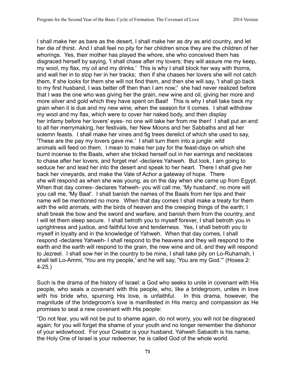I shall make her as bare as the desert, I shall make her as dry as arid country, and let her die of thirst. And I shall feel no pity for her children since they are the children of her whorings. Yes, their mother has played the whore, she who conceived them has disgraced herself by saying, 'I shall chase after my lovers; they will assure me my keep, my wool, my flax, my oil and my drinks.' This is why I shall block her way with thorns, and wall her in to stop her in her tracks; then if she chases her lovers she will not catch them, if she looks for them she will not find them, and then she will say, 'I shall go back to my first husband, I was better off then than I am now;' she had never realized before that I was the one who was giving her the grain, new wine and oil, giving her more and more silver and gold which they have spent on Baal! This is why I shall take back my grain when it is due and my new wine, when the season for it comes. I shall withdraw my wool and my flax, which were to cover her naked body, and then display her infamy before her lovers' eyes- no one will take her from me then! I shall put an end to all her merrymaking, her festivals, her New Moons and her Sabbaths and all her solemn feasts. I shall make her vines and fig trees derelict of which she used to say, 'These are the pay my lovers gave me.' I shall turn them into a jungle: wild animals will feed on them. I mean to make her pay for the feast-days on which she burnt incense to the Baals, when she tricked herself out in her earrings and necklaces to chase after her lovers, and forget me! -declares Yahweh. But look, I am going to seduce her and lead her into the desert and speak to her heart. There I shall give her back her vineyards, and make the Vale of Achor a gateway of hope. There she will respond as when she was young, as on the day when she came up from Egypt. When that day comes- declares Yahweh- you will call me, 'My husband', no more will you call me, 'My Baal'. I shall banish the names of the Baals from her lips and their name will be mentioned no more. When that day comes I shall make a treaty for them with the wild animals, with the birds of heaven and the creeping things of the earth; I shall break the bow and the sword and warfare, and banish them from the country, and I will let them sleep secure. I shall betroth you to myself forever, I shall betroth you in uprightness and justice, and faithful love and tenderness. Yes, I shall betroth you to myself in loyalty and in the knowledge of Yahweh. When that day comes, I shall respond -declares Yahweh- I shall respond to the heavens and they will respond to the earth and the earth will respond to the grain, the new wine and oil, and they will respond to Jezreel. I shall sow her in the country to be mine, I shall take pity on Lo-Ruhamah, I shall tell Lo-Ammi, 'You are my people,' and he will say, 'You are my God.'" (Hosea 2: 4-25.)

Such is the drama of the history of Israel: a God who seeks to unite in covenant with His people, who seals a covenant with this people, who, like a bridegroom, unites in love with his bride who, spurning His love, is unfaithful. In this drama, however, the magnitude of the bridegroom's love is manifested in His mercy and compassion as He promises to seal a new covenant with His people:

"Do not fear, you will not be put to shame again, do not worry, you will not be disgraced again; for you will forget the shame of your youth and no longer remember the dishonor of your widowhood. For your Creator is your husband, Yahweh Sabaoth is his name, the Holy One of Israel is your redeemer, he is called God of the whole world.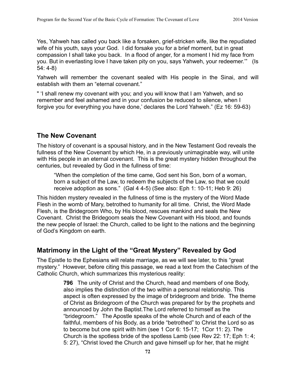Yes, Yahweh has called you back like a forsaken, grief-stricken wife, like the repudiated wife of his youth, says your God. I did forsake you for a brief moment, but in great compassion I shall take you back. In a flood of anger, for a moment I hid my face from you. But in everlasting love I have taken pity on you, says Yahweh, your redeemer.'" (Is 54: 4-8)

Yahweh will remember the covenant sealed with His people in the Sinai, and will establish with them an "eternal covenant."

" 'I shall renew my covenant with you; and you will know that I am Yahweh, and so remember and feel ashamed and in your confusion be reduced to silence, when I forgive you for everything you have done,' declares the Lord Yahweh." (Ez 16: 59-63)

# **The New Covenant**

The history of covenant is a spousal history, and in the New Testament God reveals the fullness of the New Covenant by which He, in a previously unimaginable way, will unite with His people in an eternal covenant. This is the great mystery hidden throughout the centuries, but revealed by God in the fullness of time:

"When the completion of the time came, God sent his Son, born of a woman, born a subject of the Law, to redeem the subjects of the Law, so that we could receive adoption as sons." (Gal 4 4-5) (See also: Eph 1: 10-11; Heb 9: 26)

This hidden mystery revealed in the fullness of time is the mystery of the Word Made Flesh in the womb of Mary, betrothed to humanity for all time. Christ, the Word Made Flesh, is the Bridegroom Who, by His blood, rescues mankind and seals the New Covenant. Christ the Bridegoom seals the New Covenant with His blood, and founds the new people of Israel: the Church, called to be light to the nations and the beginning of God's Kingdom on earth.

## **Matrimony in the Light of the "Great Mystery" Revealed by God**

The Epistle to the Ephesians will relate marriage, as we will see later, to this "great mystery." However, before citing this passage, we read a text from the Catechism of the Catholic Church, which summarizes this mysterious reality:

> **796** The unity of Christ and the Church, head and members of one Body, also implies the distinction of the two within a personal relationship. This aspect is often expressed by the image of bridegroom and bride. The theme of Christ as Bridegroom of the Church was prepared for by the prophets and announced by John the Baptist.The Lord referred to himself as the "bridegroom." The Apostle speaks of the whole Church and of each of the faithful, members of his Body, as a bride "betrothed" to Christ the Lord so as to become but one spirit with him (see 1 Cor 6: 15-17; 1Cor 11: 2). The Church is the spotless bride of the spotless Lamb (see Rev 22: 17; Eph 1: 4; 5: 27), "Christ loved the Church and gave himself up for her, that he might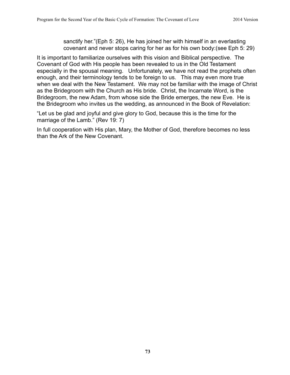sanctify her."(Eph 5: 26), He has joined her with himself in an everlasting covenant and never stops caring for her as for his own body:(see Eph 5: 29)

It is important to familiarize ourselves with this vision and Biblical perspective. The Covenant of God with His people has been revealed to us in the Old Testament especially in the spousal meaning. Unfortunately, we have not read the prophets often enough, and their terminology tends to be foreign to us. This may even more true when we deal with the New Testament. We may not be familiar with the image of Christ as the Bridegroom with the Church as His bride. Christ, the Incarnate Word, is the Bridegroom, the new Adam, from whose side the Bride emerges, the new Eve. He is the Bridegroom who invites us the wedding, as announced in the Book of Revelation:

"Let us be glad and joyful and give glory to God, because this is the time for the marriage of the Lamb." (Rev 19: 7)

In full cooperation with His plan, Mary, the Mother of God, therefore becomes no less than the Ark of the New Covenant.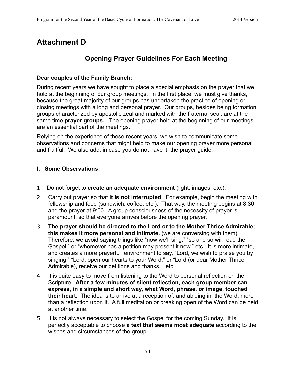# **Attachment D**

# **Opening Prayer Guidelines For Each Meeting**

#### **Dear couples of the Family Branch:**

During recent years we have sought to place a special emphasis on the prayer that we hold at the beginning of our group meetings. In the first place, we must give thanks, because the great majority of our groups has undertaken the practice of opening or closing meetings with a long and personal prayer. Our groups, besides being formation groups characterized by apostolic zeal and marked with the fraternal seal, are at the same time **prayer groups.** The opening prayer held at the beginning of our meetings are an essential part of the meetings.

Relying on the experience of these recent years, we wish to communicate some observations and concerns that might help to make our opening prayer more personal and fruitful. We also add, in case you do not have it, the prayer guide.

#### **I. Some Observations:**

- 1. Do not forget to **create an adequate environment** (light, images, etc.).
- 2. Carry out prayer so that **it is not interrupted**. For example, begin the meeting with fellowship and food (sandwich, coffee, etc.). That way, the meeting begins at 8:30 and the prayer at 9:00. A group consciousness of the necessity of prayer is paramount, so that everyone arrives before the opening prayer.
- 3. **The prayer should be directed to the Lord or to the Mother Thrice Admirable; this makes it more personal and intimate.** (we are conversing with them). Therefore, we avoid saying things like "now we'll sing," "so and so will read the Gospel," or "whomever has a petition may present it now," etc. It is more intimate, and creates a more prayerful environment to say, "Lord, we wish to praise you by singing," "Lord, open our hearts to your Word," or "Lord (or dear Mother Thrice Admirable), receive our petitions and thanks," etc.
- 4. It is quite easy to move from listening to the Word to personal reflection on the Scripture. **After a few minutes of silent reflection, each group member can express, in a simple and short way, what Word, phrase, or image, touched their heart.** The idea is to arrive at a reception of, and abiding in, the Word, more than a reflection upon It. A full meditation or breaking open of the Word can be held at another time.
- 5. It is not always necessary to select the Gospel for the coming Sunday. It is perfectly acceptable to choose **a text that seems most adequate** according to the wishes and circumstances of the group.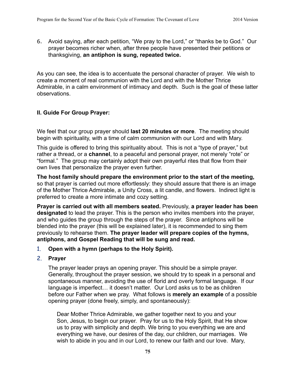6. Avoid saying, after each petition, "We pray to the Lord," or "thanks be to God." Our prayer becomes richer when, after three people have presented their petitions or thanksgiving, **an antiphon is sung, repeated twice.**

As you can see, the idea is to accentuate the personal character of prayer. We wish to create a moment of real communion with the Lord and with the Mother Thrice Admirable, in a calm environment of intimacy and depth. Such is the goal of these latter observations.

## **II. Guide For Group Prayer:**

We feel that our group prayer should **last 20 minutes or more**. The meeting should begin with spirituality, with a time of calm communion with our Lord and with Mary.

This guide is offered to bring this spirituality about. This is not a "type of prayer," but rather a thread, or a **channel**, to a peaceful and personal prayer, not merely "rote" or "formal." The group may certainly adopt their own prayerful rites that flow from their own lives that personalize the prayer even further.

**The host family should prepare the environment prior to the start of the meeting,**  so that prayer is carried out more effortlessly: they should assure that there is an image of the Mother Thrice Admirable, a Unity Cross, a lit candle, and flowers. Indirect light is preferred to create a more intimate and cozy setting.

**Prayer is carried out with all members seated.** Previously, **a prayer leader has been designated** to lead the prayer. This is the person who invites members into the prayer, and who guides the group through the steps of the prayer. Since antiphons will be blended into the prayer (this will be explained later), it is recommended to sing them previously to rehearse them. **The prayer leader will prepare copies of the hymns, antiphons, and Gospel Reading that will be sung and read.**

#### 1. **Open with a hymn (perhaps to the Holy Spirit).**

#### 2. **Prayer**

The prayer leader prays an opening prayer. This should be a simple prayer. Generally, throughout the prayer session, we should try to speak in a personal and spontaneous manner, avoiding the use of florid and overly formal language. If our language is imperfect… it doesn't matter. Our Lord asks us to be as children before our Father when we pray. What follows is **merely an example** of a possible opening prayer (done freely, simply, and spontaneously):

Dear Mother Thrice Admirable, we gather together next to you and your Son, Jesus, to begin our prayer. Pray for us to the Holy Spirit, that He show us to pray with simplicity and depth. We bring to you everything we are and everything we have, our desires of the day, our children, our marriages. We wish to abide in you and in our Lord, to renew our faith and our love. Mary,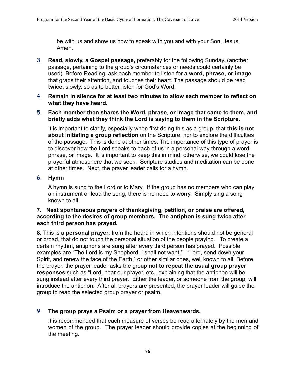be with us and show us how to speak with you and with your Son, Jesus. Amen.

- 3. **Read, slowly, a Gospel passage,** preferably for the following Sunday. (another passage, pertaining to the group's circumstances or needs could certainly be used). Before Reading, ask each member to listen for **a word, phrase, or image** that grabs their attention, and touches their heart. The passage should be read **twice,** slowly, so as to better listen for God's Word.
- 4. **Remain in silence for at least two minutes to allow each member to reflect on what they have heard.**
- 5. **Each member then shares the Word, phrase, or image that came to them, and briefly adds what they think the Lord is saying to them in the Scripture.**

It is important to clarify, especially when first doing this as a group, that **this is not about initiating a group reflection** on the Scripture, nor to explore the difficulties of the passage. This is done at other times. The importance of this type of prayer is to discover how the Lord speaks to each of us in a personal way through a word, phrase, or image. It is important to keep this in mind; otherwise, we could lose the prayerful atmosphere that we seek. Scripture studies and meditation can be done at other times. Next, the prayer leader calls for a hymn.

6. **Hymn** 

A hymn is sung to the Lord or to Mary. If the group has no members who can play an instrument or lead the song, there is no need to worry. Simply sing a song known to all.

#### **7. Next spontaneous prayers of thanksgiving, petition, or praise are offered, according to the desires of group members. The antiphon is sung twice after each third person has prayed.**

**8.** This is a **personal prayer**, from the heart, in which intentions should not be general or broad, that do not touch the personal situation of the people praying. To create a certain rhythm, antiphons are sung after every third person has prayed. Possible examples are "The Lord is my Shepherd, I shall not want," "Lord, send down your Spirit, and renew the face of the Earth," or other similar ones, well known to all. Before the prayer, the prayer leader asks the group **not to repeat the usual group prayer responses** such as "Lord, hear our prayer, etc., explaining that the antiphon will be sung instead after every third prayer. Either the leader, or someone from the group, will introduce the antiphon. After all prayers are presented, the prayer leader will guide the group to read the selected group prayer or psalm.

## 9. **The group prays a Psalm or a prayer from Heavenwards.**

It is recommended that each measure of verses be read alternately by the men and women of the group. The prayer leader should provide copies at the beginning of the meeting.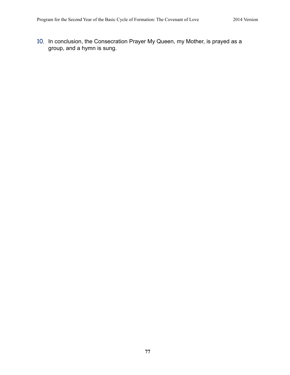10. In conclusion, the Consecration Prayer My Queen, my Mother, is prayed as a group, and a hymn is sung.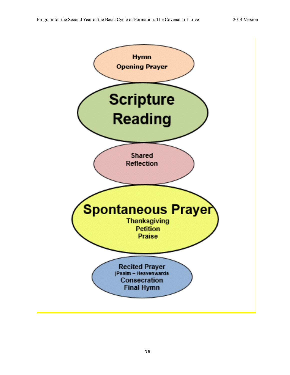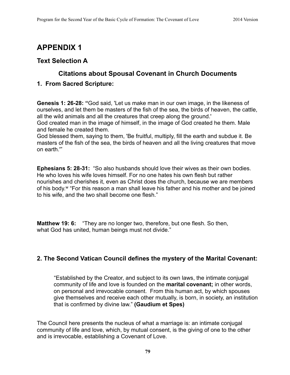# **APPENDIX 1**

# **Text Selection A**

# **Citations about Spousal Covenant in Church Documents**

## **1. From Sacred Scripture:**

**Genesis 1: 26-28: "**God said, 'Let us make man in our own image, in the likeness of ourselves, and let them be masters of the fish of the sea, the birds of heaven, the cattle, all the wild animals and all the creatures that creep along the ground.'

God created man in the image of himself, in the image of God created he them. Male and female he created them.

God blessed them, saying to them, 'Be fruitful, multiply, fill the earth and subdue it. Be masters of the fish of the sea, the birds of heaven and all the living creatures that move on earth.'"

**Ephesians 5: 28-31:** "So also husbands should love their wives as their own bodies. He who loves his wife loves himself. For no one hates his own flesh but rather nourishes and cherishes it, even as Christ does the church, because we are members of his body.w "For this reason a man shall leave his father and his mother and be joined to his wife, and the two shall become one flesh."

**Matthew 19: 6:** "They are no longer two, therefore, but one flesh. So then, what God has united, human beings must not divide."

## **2. The Second Vatican Council defines the mystery of the Marital Covenant:**

"Established by the Creator, and subject to its own laws, the intimate conjugal community of life and love is founded on the **marital covenant;** in other words, on personal and irrevocable consent. From this human act, by which spouses give themselves and receive each other mutually, is born, in society, an institution that is confirmed by divine law." **(Gaudium et Spes)** 

The Council here presents the nucleus of what a marriage is: an intimate conjugal community of life and love, which, by mutual consent, is the giving of one to the other and is irrevocable, establishing a Covenant of Love.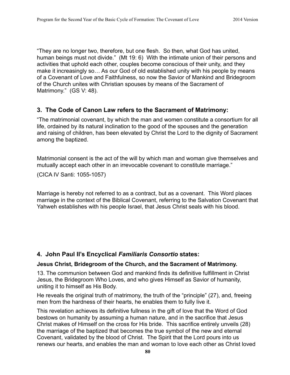"They are no longer two, therefore, but one flesh. So then, what God has united, human beings must not divide." (Mt 19: 6) With the intimate union of their persons and activities that uphold each other, couples become conscious of their unity, and they make it increasingly so… As our God of old established unity with his people by means of a Covenant of Love and Faithfulness, so now the Savior of Mankind and Bridegroom of the Church unites with Christian spouses by means of the Sacrament of Matrimony." (GS V: 48).

## **3. The Code of Canon Law refers to the Sacrament of Matrimony:**

"The matrimonial covenant, by which the man and women constitute a consortium for all life, ordained by its natural inclination to the good of the spouses and the generation and raising of children, has been elevated by Christ the Lord to the dignity of Sacrament among the baptized.

Matrimonial consent is the act of the will by which man and woman give themselves and mutually accept each other in an irrevocable covenant to constitute marriage."

(CICA IV Santi: 1055-1057)

Marriage is hereby not referred to as a contract, but as a covenant. This Word places marriage in the context of the Biblical Covenant, referring to the Salvation Covenant that Yahweh establishes with his people Israel, that Jesus Christ seals with his blood.

## **4. John Paul II's Encyclical** *Familiaris Consortio* **states:**

#### **Jesus Christ, Bridegroom of the Church, and the Sacrament of Matrimony.**

13. The communion between God and mankind finds its definitive fulfillment in Christ Jesus, the Bridegroom Who Loves, and who gives Himself as Savior of humanity, uniting it to himself as His Body.

He reveals the original truth of matrimony, the truth of the "principle" (27), and, freeing men from the hardness of their hearts, he enables them to fully live it.

This revelation achieves its definitive fullness in the gift of love that the Word of God bestows on humanity by assuming a human nature, and in the sacrifice that Jesus Christ makes of Himself on the cross for His bride. This sacrifice entirely unveils (28) the marriage of the baptized that becomes the true symbol of the new and eternal Covenant, validated by the blood of Christ. The Spirit that the Lord pours into us renews our hearts, and enables the man and woman to love each other as Christ loved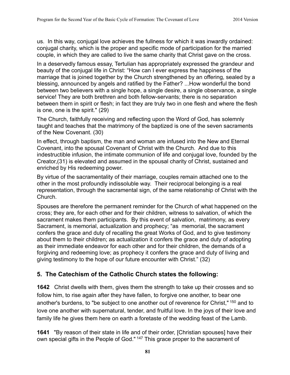us. In this way, conjugal love achieves the fullness for which it was inwardly ordained: conjugal charity, which is the proper and specific mode of participation for the married couple, in which they are called to live the same charity that Christ gave on the cross.

In a deservedly famous essay, Tertulian has appropriately expressed the grandeur and beauty of the conjugal life in Christ: "How can I ever express the happiness of the marriage that is joined together by the Church strengthened by an offering, sealed by a blessing, announced by angels and ratified by the Father? ...How wonderful the bond between two believers with a single hope, a single desire, a single observance, a single service! They are both brethren and both fellow-servants; there is no separation between them in spirit or flesh; in fact they are truly two in one flesh and where the flesh is one, one is the spirit." (29)

The Church, faithfully receiving and reflecting upon the Word of God, has solemnly taught and teaches that the matrimony of the baptized is one of the seven sacraments of the New Covenant. (30)

In effect, through baptism, the man and woman are infused into the New and Eternal Covenant, into the spousal Covenant of Christ with the Church. And due to this indestructible infusion, the intimate communion of life and conjugal love, founded by the Creator,(31) is elevated and assumed in the spousal charity of Christ, sustained and enriched by His redeeming power.

By virtue of the sacramentality of their marriage, couples remain attached one to the other in the most profoundly indissoluble way. Their reciprocal belonging is a real representation, through the sacramental sign, of the same relationship of Christ with the Church.

Spouses are therefore the permanent reminder for the Church of what happened on the cross; they are, for each other and for their children, witness to salvation, of which the sacrament makes them participants. By this event of salvation, matrimony, as every Sacrament, is memorial, actualization and prophecy; "as memorial, the sacrament confers the grace and duty of recalling the great Works of God, and to give testimony about them to their children; as actualization it confers the grace and duty of adopting as their immediate endeavor for each other and for their children, the demands of a forgiving and redeeming love; as prophecy it confers the grace and duty of living and giving testimony to the hope of our future encounter with Christ." (32)

## **5. The Catechism of the Catholic Church states the following:**

**1642** Christ dwells with them, gives them the strength to take up their crosses and so follow him, to rise again after they have fallen, to forgive one another, to bear one another's burdens, to "be subject to one another out of reverence for Christ," 150 and to love one another with supernatural, tender, and fruitful love. In the joys of their love and family life he gives them here on earth a foretaste of the wedding feast of the Lamb.

**1641** "By reason of their state in life and of their order, [Christian spouses] have their own special gifts in the People of God."<sup>147</sup> This grace proper to the sacrament of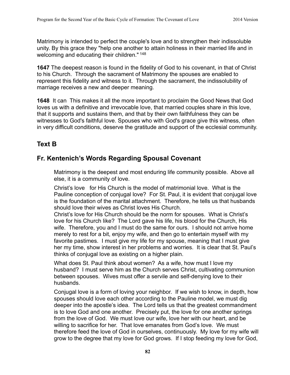Matrimony is intended to perfect the couple's love and to strengthen their indissoluble unity. By this grace they "help one another to attain holiness in their married life and in welcoming and educating their children." 148

**1647** The deepest reason is found in the fidelity of God to his covenant, in that of Christ to his Church. Through the sacrament of Matrimony the spouses are enabled to represent this fidelity and witness to it. Through the sacrament, the indissolubility of marriage receives a new and deeper meaning.

**1648** It can This makes it all the more important to proclaim the Good News that God loves us with a definitive and irrevocable love, that married couples share in this love, that it supports and sustains them, and that by their own faithfulness they can be witnesses to God's faithful love. Spouses who with God's grace give this witness, often in very difficult conditions, deserve the gratitude and support of the ecclesial community.

# **Text B**

# **Fr. Kentenich's Words Regarding Spousal Covenant**

 Matrimony is the deepest and most enduring life community possible. Above all else, it is a community of love.

Christ's love for His Church is the model of matrimonial love. What is the Pauline conception of conjugal love? For St. Paul, it is evident that conjugal love is the foundation of the marital attachment. Therefore, he tells us that husbands should love their wives as Christ loves His Church.

Christ's love for His Church should be the norm for spouses. What is Christ's love for his Church like? The Lord gave his life, his blood for the Church, His wife. Therefore, you and I must do the same for ours. I should not arrive home merely to rest for a bit, enjoy my wife, and then go to entertain myself with my favorite pastimes. I must give my life for my spouse, meaning that I must give her my time, show interest in her problems and worries. It is clear that St. Paul's thinks of conjugal love as existing on a higher plain.

What does St. Paul think about women? As a wife, how must I love my husband? I must serve him as the Church serves Christ, cultivating communion between spouses. Wives must offer a servile and self-denying love to their husbands.

Conjugal love is a form of loving your neighbor. If we wish to know, in depth, how spouses should love each other according to the Pauline model, we must dig deeper into the apostle's idea. The Lord tells us that the greatest commandment is to love God and one another. Precisely put, the love for one another springs from the love of God. We must love our wife, love her with our heart, and be willing to sacrifice for her. That love emanates from God's love. We must therefore feed the love of God in ourselves, continuously. My love for my wife will grow to the degree that my love for God grows. If I stop feeding my love for God,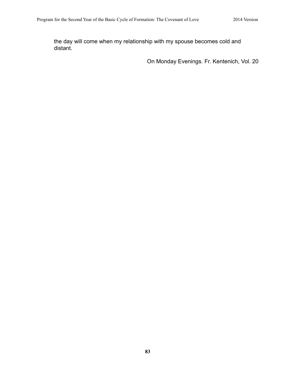the day will come when my relationship with my spouse becomes cold and distant.

On Monday Evenings. Fr. Kentenich, Vol. 20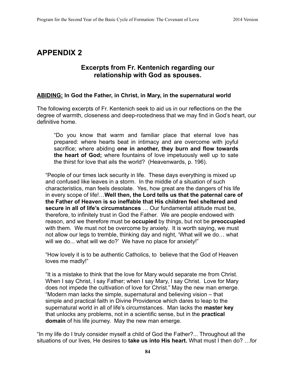# **APPENDIX 2**

## **Excerpts from Fr. Kentenich regarding our relationship with God as spouses.**

#### **ABIDING: In God the Father, in Christ, in Mary, in the supernatural world**

The following excerpts of Fr. Kentenich seek to aid us in our reflections on the the degree of warmth, closeness and deep-rootedness that we may find in God's heart, our definitive home.

"Do you know that warm and familiar place that eternal love has prepared: where hearts beat in intimacy and are overcome with joyful sacrifice; where abiding **one in another, they burn and flow towards the heart of God;** where fountains of love impetuously well up to sate the thirst for love that ails the world? (Heavenwards, p. 196).

"People of our times lack security in life. These days everything is mixed up and confused like leaves in a storm. In the middle of a situation of such characteristics, man feels desolate. Yes, how great are the dangers of his life in every scope of life!…**Well then, the Lord tells us that the paternal care of the Father of Heaven is so ineffable that His children feel sheltered and secure in all of life's circumstances** … Our fundamental attitude must be, therefore, to infinitely trust in God the Father. We are people endowed with reason, and we therefore must be **occupied** by things, but not be **preoccupied**  with them. We must not be overcome by anxiety. It is worth saying, we must not allow our legs to tremble, thinking day and night, 'What will we do… what will we do... what will we do?' We have no place for anxiety!"

"How lovely it is to be authentic Catholics, to believe that the God of Heaven loves me madly!"

"It is a mistake to think that the love for Mary would separate me from Christ. When I say Christ, I say Father; when I say Mary, I say Christ. Love for Mary does not impede the cultivation of love for Christ." May the new man emerge. "Modern man lacks the simple, supernatural and believing vision – that simple and practical faith in Divine Providence which dares to leap to the supernatural world in all of life's circumstances. Man lacks the **master key** that unlocks any problems, not in a scientific sense, but in the **practical domain** of his life journey. May the new man emerge.

"In my life do I truly consider myself a child of God the Father?... Throughout all the situations of our lives, He desires to **take us into His heart.** What must I then do? …for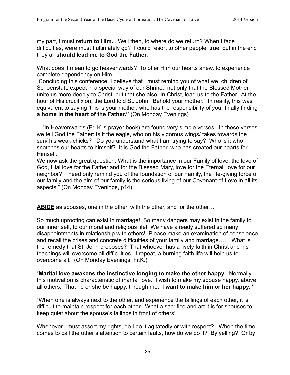my part, I must **return to Him.**.. Well then, to where do we return? When I face difficulties, were must I ultimately go? I could resort to other people, true, but in the end they all **should lead me to God the Father.**

What does it mean to go heavenwards? To offer Him our hearts anew, to experience complete dependency on Him…"

"Concluding this conference, I believe that I must remind you of what we, children of Schoenstatt, expect in a special way of our Shrine: not only that the Blessed Mother unite us more deeply to Christ, but that she also, **in** Christ, lead us to the Father. At the hour of His crucifixion, the Lord told St. John: 'Behold your mother.' In reality, this was equivalent to saying 'this is your mother, who has the responsibility of your finally finding **a home in the heart of the Father."** (On Monday Evenings)

…"In Heavenwards (Fr. K.'s prayer book) are found very simple verses. In these verses we tell God the Father: Is it the eagle, who on his vigorous wings/ takes towards the sun/ his weak chicks? Do you understand what I am trying to say? Who is it who snatches our hearts to himself? It is God the Father, who has created our hearts for Himself.

We now ask the great question: What is the importance in our Family of love, the love of God, filial love for the Father and for the Blessed Mary, love for the Eternal, love for our neighbor? I need only remind you of the foundation of our Family, the life-giving force of our family and the aim of our family is the serious living of our Covenant of Love in all its aspects." (On Monday Evenings, p14)

**ABIDE** as spouses, one in the other, with the other, and for the other…

So much uprooting can exist in marriage! So many dangers may exist in the family to our inner self, to our moral and religious life! We have already suffered so many disappointments in relationship with others! Please make an examination of conscience and recall the crises and concrete difficulties of your family and marriage…… What is the remedy that St. John proposes? That whoever has a lively faith in Christ and his teachings will overcome all difficulties. I repeat, a burning faith life will help us to overcome all." (On Monday Evenings, Fr.K.)

"**Marital love awakens the instinctive longing to make the other happy**. Normally, this motivation is characteristic of marital love. I wish to make my spouse happy, above all others. That he or she be happy, through me. **I want to make him or her happy."** 

"When one is always next to the other, and experience the failings of each other, it is difficult to maintain respect for each other. What a sacrifice and art it is for spouses to keep quiet about the spouse's failings in front of others!

Whenever I must assert my rights, do I do it agitatedly or with respect? When the time comes to call the other's attention to certain faults, how do we do it? By yelling? Or by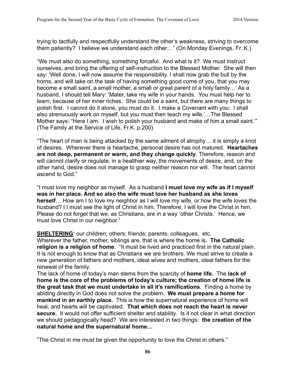trying to tactfully and respectfully understand the other's weakness, striving to overcome them patiently? I believe we understand each other…" (On Monday Evenings, Fr..K.)

"We must also do something, something forceful. And what is it? We must instruct ourselves, and bring the offering of self-instruction to the Blessed Mother. She will then say: 'Well done, I will now assume the responsibility. I shall now grab the bull by the horns, and will take on the task of having something good come of you, that you may become a small saint, a small mother, a small or great parent of a holy family…' As a husband, I should tell Mary: 'Mater, take my wife in your hands. You must help her to learn, because of her inner riches. She could be a saint, but there are many things to polish first. I cannot do it alone, you must do it. I make a Covenant with you: I shall also strenuously work on myself, but you must then teach my wife.'…The Blessed Mother says: "Here I am. I wish to polish your husband and make of him a small saint." (The Family at the Service of Life, Fr.K. p.200)

"The heart of man is being attacked by the same ailment of atrophy… it is simply a knot of desires. Wherever there is heartache, personal desire has not matured. **Heartaches are not deep, permanent or warm, and they change quickly**. Therefore, reason and will cannot clarify or regulate, in a healthier way, the movements of desire, and, on the other hand, desire does not manage to grasp neither reason nor will. The heart cannot ascend to God."

"I must love my neighbor as myself. As a husband **I must love my wife as if I myself was in her place. And so also the wife must love her husband as she loves herself**… How am I to love my neighbor as I will love my wife, or how the wife loves the husband? l I must see the light of Christ in him. Therefore, I will love the Christ in him. Please do not forget that we, as Christians, are in a way 'other Christs.' Hence, we must love Christ in our neighbor."

**SHELTERING:** our children; others; friends; parents, colleagues, etc. Wherever the father, mother, siblings are, that is where the home is**. The Catholic religion is a religion of home**. "It must be lived and practiced first in the natural plain. It is not enough to know that as Christians we are brothers. We must strive to create a new generation of fathers and mothers, ideal wives and mothers, ideal fathers for the renewal of the family.

The lack of home of today's man stems from the scarcity of **home life.** The **lack of home is the core of the problems of today's culture; the creation of home life is the great task that we must undertake in all it's ramifications**. Finding a home by abiding directly in God does not solve the problem. **We must prepare a home for mankind in an earthly place.** This is how the supernatural experience of home will heal, and hearts will be captivated. **That which does not reach the heart is never secure.** It would not offer sufficient shelter and stability. Is it not clear in what direction we should pedagogically head? We are interested in two things: **the creation of the natural home and the supernatural home…** 

"The Christ in me must be given the opportunity to love the Christ in others."